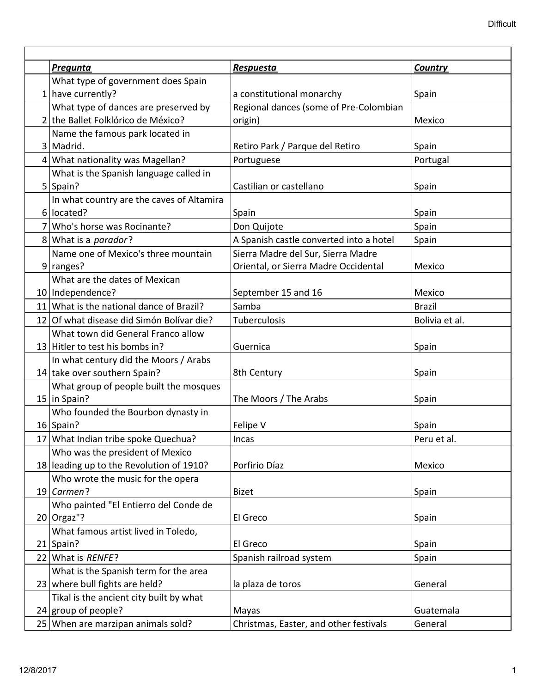|                | <b>Pregunta</b>                           | <b>Respuesta</b>                        | <b>Country</b> |  |  |
|----------------|-------------------------------------------|-----------------------------------------|----------------|--|--|
|                | What type of government does Spain        |                                         |                |  |  |
|                | $1$ have currently?                       | a constitutional monarchy               | Spain          |  |  |
|                | What type of dances are preserved by      | Regional dances (some of Pre-Colombian  |                |  |  |
|                | 2 the Ballet Folklórico de México?        | origin)                                 | Mexico         |  |  |
|                | Name the famous park located in           |                                         |                |  |  |
|                | 3 Madrid.                                 | Retiro Park / Parque del Retiro         | Spain          |  |  |
|                | 4 What nationality was Magellan?          | Portuguese                              | Portugal       |  |  |
|                | What is the Spanish language called in    |                                         |                |  |  |
|                | 5 Spain?                                  | Castilian or castellano                 | Spain          |  |  |
|                | In what country are the caves of Altamira |                                         |                |  |  |
| 6 <sup>1</sup> | located?                                  | Spain                                   | Spain          |  |  |
| 7 <sup>1</sup> | Who's horse was Rocinante?                | Don Quijote                             | Spain          |  |  |
| 8              | What is a parador?                        | A Spanish castle converted into a hotel | Spain          |  |  |
|                | Name one of Mexico's three mountain       | Sierra Madre del Sur, Sierra Madre      |                |  |  |
|                | $9$ ranges?                               | Oriental, or Sierra Madre Occidental    | Mexico         |  |  |
|                | What are the dates of Mexican             |                                         |                |  |  |
|                | 10 Independence?                          | September 15 and 16                     | Mexico         |  |  |
|                | 11 What is the national dance of Brazil?  | Samba                                   | <b>Brazil</b>  |  |  |
|                | 12 Of what disease did Simón Bolívar die? | Tuberculosis                            | Bolivia et al. |  |  |
|                | What town did General Franco allow        |                                         |                |  |  |
|                | 13 Hitler to test his bombs in?           | Guernica                                | Spain          |  |  |
|                | In what century did the Moors / Arabs     |                                         |                |  |  |
|                | 14 take over southern Spain?              | 8th Century                             | Spain          |  |  |
|                | What group of people built the mosques    |                                         |                |  |  |
|                | 15 in Spain?                              | The Moors / The Arabs                   | Spain          |  |  |
|                | Who founded the Bourbon dynasty in        |                                         |                |  |  |
|                | 16 Spain?                                 | Felipe V                                | Spain          |  |  |
|                | 17 What Indian tribe spoke Quechua?       | Incas                                   | Peru et al.    |  |  |
|                | Who was the president of Mexico           |                                         |                |  |  |
|                | 18 leading up to the Revolution of 1910?  | Porfirio Díaz                           | Mexico         |  |  |
|                | Who wrote the music for the opera         |                                         |                |  |  |
|                | 19 Carmen?                                | <b>Bizet</b>                            | Spain          |  |  |
|                | Who painted "El Entierro del Conde de     |                                         |                |  |  |
|                | 20 Orgaz"?                                | El Greco                                | Spain          |  |  |
|                | What famous artist lived in Toledo,       |                                         |                |  |  |
|                | $21$ Spain?                               | El Greco                                | Spain          |  |  |
|                | 22 What is RENFE?                         | Spanish railroad system                 | Spain          |  |  |
|                | What is the Spanish term for the area     |                                         |                |  |  |
|                | 23 where bull fights are held?            | la plaza de toros                       | General        |  |  |
|                | Tikal is the ancient city built by what   |                                         |                |  |  |
|                | $24$ group of people?                     | Mayas                                   | Guatemala      |  |  |
|                | 25 When are marzipan animals sold?        | Christmas, Easter, and other festivals  | General        |  |  |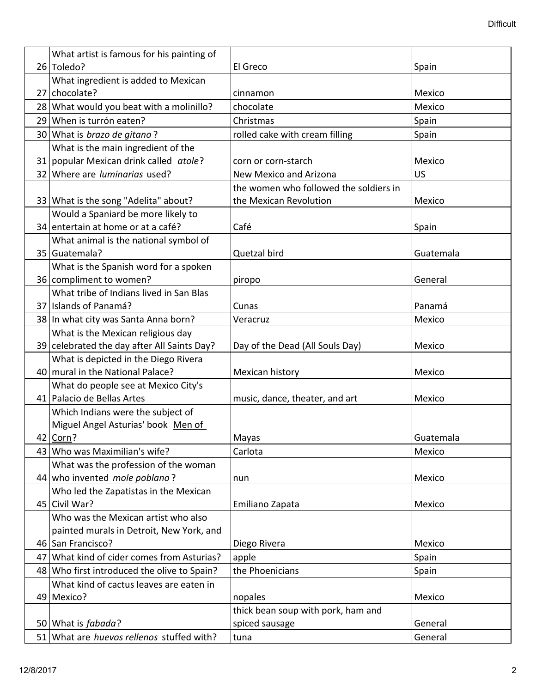| What artist is famous for his painting of                             |                                        |           |
|-----------------------------------------------------------------------|----------------------------------------|-----------|
| 26 Toledo?                                                            | El Greco                               | Spain     |
| What ingredient is added to Mexican                                   |                                        |           |
| 27 chocolate?                                                         | cinnamon                               | Mexico    |
| 28 What would you beat with a molinillo?                              | chocolate                              | Mexico    |
| 29 When is turrón eaten?                                              | Christmas                              | Spain     |
| 30 What is brazo de gitano?                                           | rolled cake with cream filling         | Spain     |
| What is the main ingredient of the                                    |                                        |           |
| 31 popular Mexican drink called atole?                                | corn or corn-starch                    | Mexico    |
| 32 Where are <i>luminarias</i> used?                                  | New Mexico and Arizona                 | <b>US</b> |
|                                                                       | the women who followed the soldiers in |           |
| 33 What is the song "Adelita" about?                                  | the Mexican Revolution                 | Mexico    |
| Would a Spaniard be more likely to                                    |                                        |           |
| 34 entertain at home or at a café?                                    | Café                                   | Spain     |
| What animal is the national symbol of                                 |                                        |           |
| 35 Guatemala?                                                         | Quetzal bird                           | Guatemala |
| What is the Spanish word for a spoken                                 |                                        |           |
| 36   compliment to women?                                             | piropo                                 | General   |
| What tribe of Indians lived in San Blas                               |                                        |           |
| 37 Islands of Panamá?                                                 | Cunas                                  | Panamá    |
| 38 In what city was Santa Anna born?                                  | Veracruz                               | Mexico    |
| What is the Mexican religious day                                     |                                        |           |
| 39 celebrated the day after All Saints Day?                           | Day of the Dead (All Souls Day)        | Mexico    |
| What is depicted in the Diego Rivera                                  |                                        |           |
| 40 mural in the National Palace?                                      | Mexican history                        | Mexico    |
| What do people see at Mexico City's                                   |                                        |           |
| 41 Palacio de Bellas Artes                                            | music, dance, theater, and art         | Mexico    |
| Which Indians were the subject of                                     |                                        |           |
| Miguel Angel Asturias' book Men of<br>$42$ Corn?                      |                                        | Guatemala |
|                                                                       | Mayas                                  |           |
| 43 Who was Maximilian's wife?                                         | Carlota                                | Mexico    |
| What was the profession of the woman<br>44 who invented mole poblano? | nun                                    | Mexico    |
| Who led the Zapatistas in the Mexican                                 |                                        |           |
| 45 Civil War?                                                         | Emiliano Zapata                        | Mexico    |
| Who was the Mexican artist who also                                   |                                        |           |
| painted murals in Detroit, New York, and                              |                                        |           |
| 46 San Francisco?                                                     | Diego Rivera                           | Mexico    |
| 47 What kind of cider comes from Asturias?                            | apple                                  | Spain     |
| 48 Who first introduced the olive to Spain?                           | the Phoenicians                        | Spain     |
| What kind of cactus leaves are eaten in                               |                                        |           |
| 49 Mexico?                                                            | nopales                                | Mexico    |
|                                                                       | thick bean soup with pork, ham and     |           |
| 50 What is <i>fabada</i> ?                                            | spiced sausage                         | General   |
| 51 What are huevos rellenos stuffed with?                             | tuna                                   | General   |
|                                                                       |                                        |           |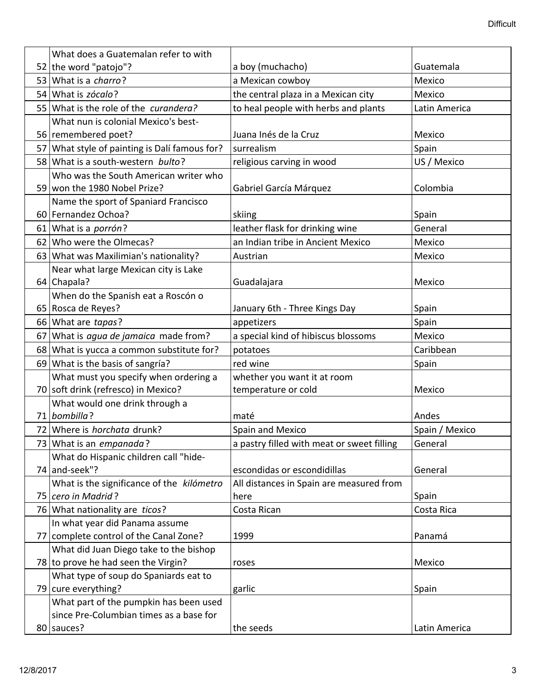| What does a Guatemalan refer to with                  |                                            |                |
|-------------------------------------------------------|--------------------------------------------|----------------|
| 52 the word "patojo"?                                 | a boy (muchacho)                           | Guatemala      |
| 53 What is a charro?                                  | a Mexican cowboy                           | Mexico         |
| 54 What is zócalo?                                    | the central plaza in a Mexican city        | Mexico         |
| 55 What is the role of the <i>curandera?</i>          | to heal people with herbs and plants       | Latin America  |
| What nun is colonial Mexico's best-                   |                                            |                |
| 56 remembered poet?                                   | Juana Inés de la Cruz                      | Mexico         |
| 57 What style of painting is Dalí famous for?         | surrealism                                 | Spain          |
| 58 What is a south-western bulto?                     | religious carving in wood                  | US / Mexico    |
| Who was the South American writer who                 |                                            |                |
| 59 won the 1980 Nobel Prize?                          | Gabriel García Márquez                     | Colombia       |
| Name the sport of Spaniard Francisco                  |                                            |                |
| 60 Fernandez Ochoa?                                   | skiing                                     | Spain          |
| 61 What is a <i>porrón</i> ?                          | leather flask for drinking wine            | General        |
| 62 Who were the Olmecas?                              | an Indian tribe in Ancient Mexico          | Mexico         |
| 63 What was Maxilimian's nationality?                 | Austrian                                   | Mexico         |
| Near what large Mexican city is Lake                  |                                            |                |
| 64 Chapala?                                           | Guadalajara                                | Mexico         |
| When do the Spanish eat a Roscón o                    |                                            |                |
| 65 Rosca de Reyes?                                    | January 6th - Three Kings Day              | Spain          |
| 66 What are tapas?                                    | appetizers                                 | Spain          |
| 67 What is agua de jamaica made from?                 | a special kind of hibiscus blossoms        | Mexico         |
| 68 What is yucca a common substitute for?             | potatoes                                   | Caribbean      |
| 69 What is the basis of sangría?                      | red wine                                   | Spain          |
| What must you specify when ordering a                 | whether you want it at room                |                |
| 70 soft drink (refresco) in Mexico?                   | temperature or cold                        | Mexico         |
| What would one drink through a                        |                                            |                |
| 71 bombilla?                                          | maté                                       | Andes          |
| 72 Where is <i>horchata</i> drunk?                    | Spain and Mexico                           | Spain / Mexico |
| 73   What is an empanada?                             | a pastry filled with meat or sweet filling | General        |
| What do Hispanic children call "hide-                 |                                            |                |
| 74 and-seek"?                                         | escondidas or escondidillas                | General        |
| What is the significance of the kilómetro             | All distances in Spain are measured from   |                |
| 75 cero in Madrid?                                    | here                                       | Spain          |
| 76 What nationality are ticos?                        | Costa Rican                                | Costa Rica     |
| In what year did Panama assume                        |                                            |                |
| 77 complete control of the Canal Zone?                | 1999                                       | Panamá         |
| What did Juan Diego take to the bishop                |                                            |                |
| 78 to prove he had seen the Virgin?                   | roses                                      | Mexico         |
| What type of soup do Spaniards eat to                 |                                            |                |
|                                                       |                                            |                |
| 79 cure everything?                                   | garlic                                     | Spain          |
| What part of the pumpkin has been used                |                                            |                |
| since Pre-Columbian times as a base for<br>80 sauces? | the seeds                                  | Latin America  |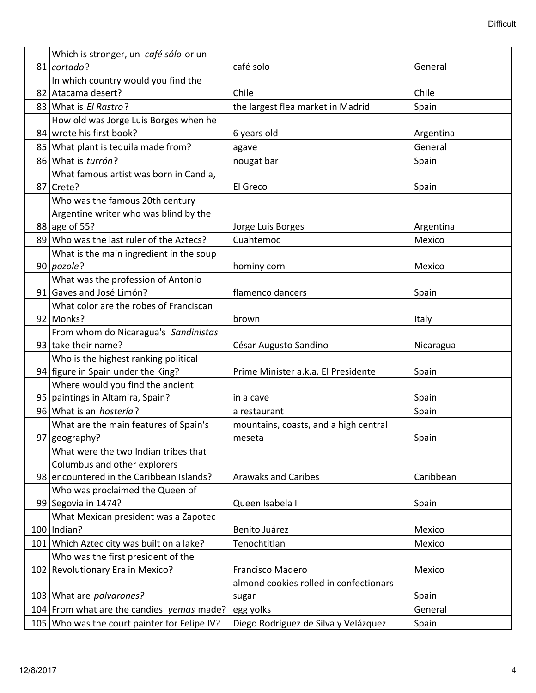| Which is stronger, un café sólo or un                       |                                        |           |
|-------------------------------------------------------------|----------------------------------------|-----------|
| 81 cortado?                                                 | café solo                              | General   |
| In which country would you find the                         |                                        |           |
| 82 Atacama desert?                                          | Chile                                  | Chile     |
| 83 What is El Rastro?                                       | the largest flea market in Madrid      | Spain     |
| How old was Jorge Luis Borges when he                       |                                        |           |
| 84 wrote his first book?                                    | 6 years old                            | Argentina |
| 85 What plant is tequila made from?                         | agave                                  | General   |
| 86 What is turrón?                                          | nougat bar                             | Spain     |
| What famous artist was born in Candia,                      |                                        |           |
| 87 Crete?                                                   | El Greco                               | Spain     |
| Who was the famous 20th century                             |                                        |           |
| Argentine writer who was blind by the                       |                                        |           |
| 88 age of 55?                                               | Jorge Luis Borges                      | Argentina |
| 89 Who was the last ruler of the Aztecs?                    | Cuahtemoc                              | Mexico    |
| What is the main ingredient in the soup                     |                                        |           |
| 90 pozole?                                                  | hominy corn                            | Mexico    |
| What was the profession of Antonio                          |                                        |           |
| 91 Gaves and José Limón?                                    | flamenco dancers                       | Spain     |
| What color are the robes of Franciscan                      |                                        |           |
| 92 Monks?                                                   | brown                                  | Italy     |
| From whom do Nicaragua's Sandinistas                        |                                        |           |
| 93 take their name?                                         | César Augusto Sandino                  | Nicaragua |
| Who is the highest ranking political                        |                                        |           |
| 94 figure in Spain under the King?                          | Prime Minister a.k.a. El Presidente    | Spain     |
| Where would you find the ancient                            |                                        |           |
| 95   paintings in Altamira, Spain?                          | in a cave                              | Spain     |
| 96 What is an <i>hosteria</i> ?                             | a restaurant                           | Spain     |
| What are the main features of Spain's                       | mountains, coasts, and a high central  |           |
| 97 geography?                                               | meseta                                 | Spain     |
| What were the two Indian tribes that                        |                                        |           |
| Columbus and other explorers                                |                                        |           |
| 98 encountered in the Caribbean Islands?                    | <b>Arawaks and Caribes</b>             | Caribbean |
| Who was proclaimed the Queen of                             |                                        |           |
| 99 Segovia in 1474?<br>What Mexican president was a Zapotec | Queen Isabela I                        | Spain     |
| $100$   Indian?                                             | Benito Juárez                          | Mexico    |
| 101 Which Aztec city was built on a lake?                   | Tenochtitlan                           |           |
| Who was the first president of the                          |                                        | Mexico    |
| 102   Revolutionary Era in Mexico?                          | Francisco Madero                       | Mexico    |
|                                                             | almond cookies rolled in confectionars |           |
| 103 What are <i>polvarones?</i>                             | sugar                                  | Spain     |
| 104 From what are the candies yemas made?                   | egg yolks                              | General   |
| 105 Who was the court painter for Felipe IV?                | Diego Rodríguez de Silva y Velázquez   | Spain     |
|                                                             |                                        |           |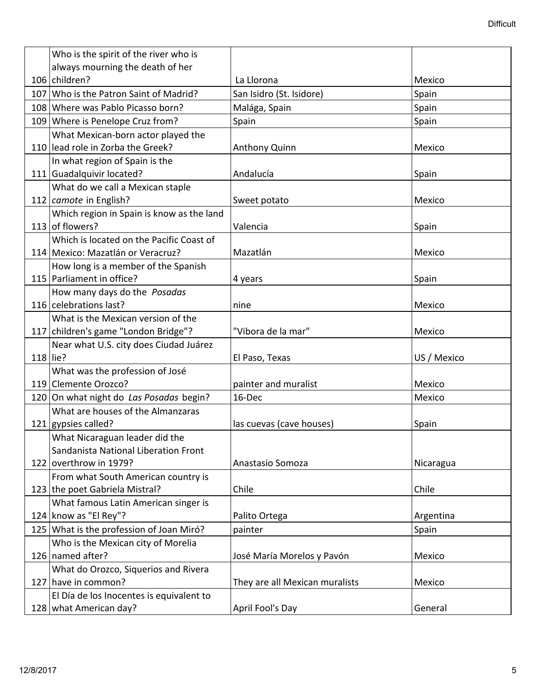| Who is the spirit of the river who is     |                                |             |
|-------------------------------------------|--------------------------------|-------------|
| always mourning the death of her          |                                |             |
| 106 children?                             | La Llorona                     | Mexico      |
| 107 Who is the Patron Saint of Madrid?    | San Isidro (St. Isidore)       | Spain       |
| 108 Where was Pablo Picasso born?         | Malága, Spain                  | Spain       |
| 109 Where is Penelope Cruz from?          | Spain                          | Spain       |
| What Mexican-born actor played the        |                                |             |
| 110 lead role in Zorba the Greek?         | Anthony Quinn                  | Mexico      |
| In what region of Spain is the            |                                |             |
| 111 Guadalquivir located?                 | Andalucía                      | Spain       |
| What do we call a Mexican staple          |                                |             |
| 112   camote in English?                  | Sweet potato                   | Mexico      |
| Which region in Spain is know as the land |                                |             |
| 113 of flowers?                           | Valencia                       | Spain       |
| Which is located on the Pacific Coast of  |                                |             |
| 114 Mexico: Mazatlán or Veracruz?         | Mazatlán                       | Mexico      |
| How long is a member of the Spanish       |                                |             |
| 115 Parliament in office?                 | 4 years                        | Spain       |
| How many days do the Posadas              |                                |             |
| 116 celebrations last?                    | nine                           | Mexico      |
| What is the Mexican version of the        |                                |             |
| 117 children's game "London Bridge"?      | "Vibora de la mar"             | Mexico      |
| Near what U.S. city does Ciudad Juárez    |                                |             |
| 118 lie?                                  | El Paso, Texas                 | US / Mexico |
| What was the profession of José           |                                |             |
| 119 Clemente Orozco?                      | painter and muralist           | Mexico      |
| 120 On what night do Las Posadas begin?   | 16-Dec                         | Mexico      |
| What are houses of the Almanzaras         |                                |             |
| 121 gypsies called?                       | las cuevas (cave houses)       | Spain       |
| What Nicaraguan leader did the            |                                |             |
| Sandanista National Liberation Front      |                                |             |
| 122 overthrow in 1979?                    | Anastasio Somoza               | Nicaragua   |
| From what South American country is       |                                |             |
| 123 the poet Gabriela Mistral?            | Chile                          | Chile       |
| What famous Latin American singer is      |                                |             |
| 124 know as "El Rey"?                     | Palito Ortega                  | Argentina   |
| 125 What is the profession of Joan Miró?  | painter                        | Spain       |
| Who is the Mexican city of Morelia        |                                |             |
| 126   named after?                        | José María Morelos y Pavón     | Mexico      |
| What do Orozco, Siquerios and Rivera      |                                |             |
| 127 have in common?                       | They are all Mexican muralists | Mexico      |
| El Día de los Inocentes is equivalent to  |                                |             |
| 128 what American day?                    | April Fool's Day               | General     |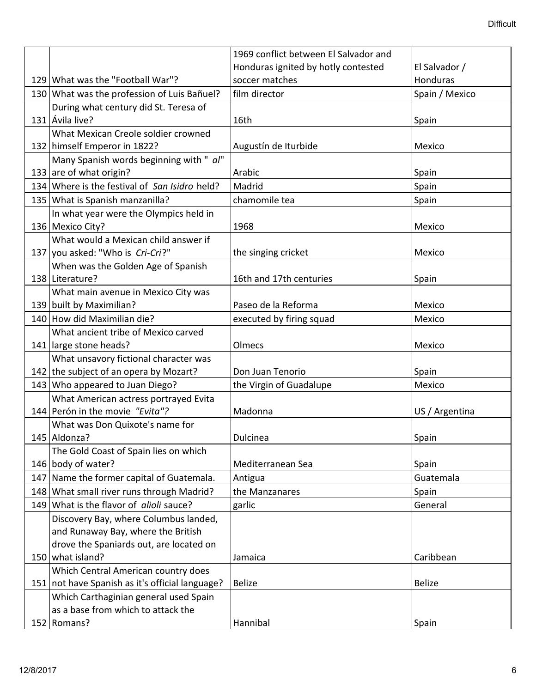|                                                 | 1969 conflict between El Salvador and |                |
|-------------------------------------------------|---------------------------------------|----------------|
|                                                 | Honduras ignited by hotly contested   | El Salvador /  |
| 129 What was the "Football War"?                | soccer matches                        | Honduras       |
| 130 What was the profession of Luis Bañuel?     | film director                         | Spain / Mexico |
| During what century did St. Teresa of           |                                       |                |
| 131 Ávila live?                                 | 16th                                  | Spain          |
| What Mexican Creole soldier crowned             |                                       |                |
| 132   himself Emperor in 1822?                  | Augustín de Iturbide                  | Mexico         |
| Many Spanish words beginning with " al"         |                                       |                |
| 133 are of what origin?                         | Arabic                                | Spain          |
| 134 Where is the festival of San Isidro held?   | Madrid                                | Spain          |
| 135   What is Spanish manzanilla?               | chamomile tea                         | Spain          |
| In what year were the Olympics held in          |                                       |                |
| 136 Mexico City?                                | 1968                                  | Mexico         |
| What would a Mexican child answer if            |                                       |                |
| 137 you asked: "Who is Cri-Cri?"                | the singing cricket                   | Mexico         |
| When was the Golden Age of Spanish              |                                       |                |
| 138 Literature?                                 | 16th and 17th centuries               | Spain          |
| What main avenue in Mexico City was             |                                       |                |
| 139 built by Maximilian?                        | Paseo de la Reforma                   | Mexico         |
| 140 How did Maximilian die?                     | executed by firing squad              | Mexico         |
| What ancient tribe of Mexico carved             |                                       |                |
| 141   large stone heads?                        | Olmecs                                | Mexico         |
| What unsavory fictional character was           |                                       |                |
| 142 the subject of an opera by Mozart?          | Don Juan Tenorio                      | Spain          |
| 143 Who appeared to Juan Diego?                 | the Virgin of Guadalupe               | Mexico         |
| What American actress portrayed Evita           |                                       |                |
| 144 Perón in the movie "Evita"?                 | Madonna                               | US / Argentina |
| What was Don Quixote's name for                 |                                       |                |
| 145 Aldonza?                                    | Dulcinea                              | Spain          |
| The Gold Coast of Spain lies on which           |                                       |                |
| 146 body of water?                              | Mediterranean Sea                     | Spain          |
| 147 Name the former capital of Guatemala.       | Antigua                               | Guatemala      |
| 148 What small river runs through Madrid?       | the Manzanares                        | Spain          |
| 149 What is the flavor of <i>alioli</i> sauce?  | garlic                                | General        |
| Discovery Bay, where Columbus landed,           |                                       |                |
| and Runaway Bay, where the British              |                                       |                |
| drove the Spaniards out, are located on         |                                       |                |
| 150 what island?                                | Jamaica                               | Caribbean      |
| Which Central American country does             |                                       |                |
| 151 not have Spanish as it's official language? | <b>Belize</b>                         | <b>Belize</b>  |
| Which Carthaginian general used Spain           |                                       |                |
| as a base from which to attack the              |                                       |                |
| 152 Romans?                                     | Hannibal                              | Spain          |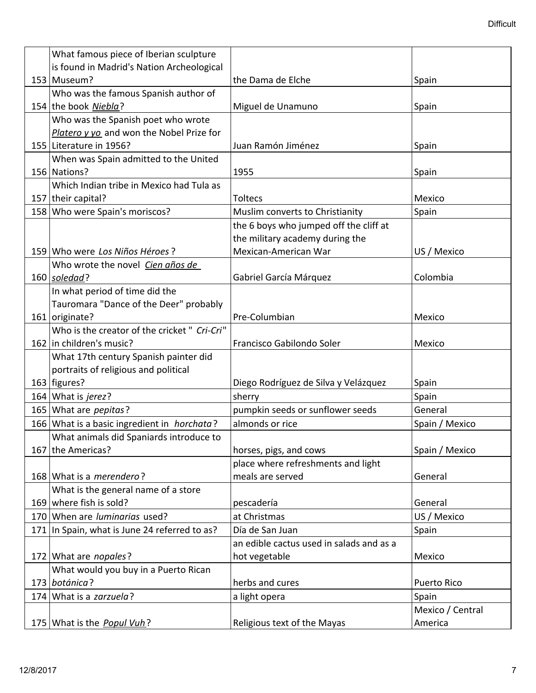| What famous piece of Iberian sculpture              |                                          |                  |
|-----------------------------------------------------|------------------------------------------|------------------|
| is found in Madrid's Nation Archeological           |                                          |                  |
| 153 Museum?                                         | the Dama de Elche                        | Spain            |
| Who was the famous Spanish author of                |                                          |                  |
| 154 the book Niebla?                                | Miguel de Unamuno                        | Spain            |
| Who was the Spanish poet who wrote                  |                                          |                  |
| Platero y yo and won the Nobel Prize for            |                                          |                  |
| 155 Literature in 1956?                             | Juan Ramón Jiménez                       | Spain            |
| When was Spain admitted to the United               |                                          |                  |
| 156 Nations?                                        | 1955                                     | Spain            |
| Which Indian tribe in Mexico had Tula as            |                                          |                  |
| 157 their capital?                                  | <b>Toltecs</b>                           | Mexico           |
| 158 Who were Spain's moriscos?                      | Muslim converts to Christianity          | Spain            |
|                                                     | the 6 boys who jumped off the cliff at   |                  |
|                                                     | the military academy during the          |                  |
| 159 Who were Los Niños Héroes?                      | Mexican-American War                     | US / Mexico      |
| Who wrote the novel Cien años de                    |                                          |                  |
| 160 soledad?                                        | Gabriel García Márquez                   | Colombia         |
| In what period of time did the                      |                                          |                  |
| Tauromara "Dance of the Deer" probably              |                                          |                  |
| 161 originate?                                      | Pre-Columbian                            | Mexico           |
| Who is the creator of the cricket " Cri-Cri"        |                                          |                  |
| 162 in children's music?                            | Francisco Gabilondo Soler                | Mexico           |
| What 17th century Spanish painter did               |                                          |                  |
| portraits of religious and political                |                                          |                  |
| $163$   figures?                                    | Diego Rodríguez de Silva y Velázquez     | Spain            |
| 164 What is jerez?                                  | sherry                                   | Spain            |
| 165 What are <i>pepitas</i> ?                       | pumpkin seeds or sunflower seeds         | General          |
| 166 What is a basic ingredient in <i>horchata</i> ? | almonds or rice                          | Spain / Mexico   |
| What animals did Spaniards introduce to             |                                          |                  |
| 167   the Americas?                                 | horses, pigs, and cows                   | Spain / Mexico   |
|                                                     | place where refreshments and light       |                  |
| 168 What is a merendero?                            | meals are served                         | General          |
| What is the general name of a store                 |                                          |                  |
| 169 where fish is sold?                             | pescadería                               | General          |
| 170 When are luminarias used?                       | at Christmas                             | US / Mexico      |
| 171   In Spain, what is June 24 referred to as?     | Día de San Juan                          | Spain            |
|                                                     | an edible cactus used in salads and as a |                  |
| 172 What are nopales?                               | hot vegetable                            | Mexico           |
| What would you buy in a Puerto Rican                |                                          |                  |
| 173 botánica?                                       | herbs and cures                          | Puerto Rico      |
| 174 What is a zarzuela?                             | a light opera                            | Spain            |
|                                                     |                                          | Mexico / Central |
| 175   What is the <i>Popul Vuh</i> ?                | Religious text of the Mayas              | America          |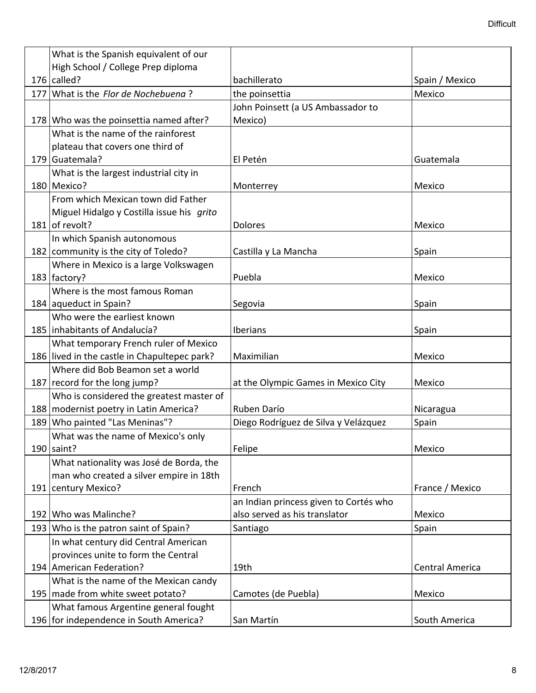|     | What is the Spanish equivalent of our        |                                        |                        |
|-----|----------------------------------------------|----------------------------------------|------------------------|
|     | High School / College Prep diploma           |                                        |                        |
|     | $176$ called?                                | bachillerato                           | Spain / Mexico         |
|     | 177   What is the Flor de Nochebuena?        | the poinsettia                         | Mexico                 |
|     |                                              | John Poinsett (a US Ambassador to      |                        |
|     | 178 Who was the poinsettia named after?      | Mexico)                                |                        |
|     | What is the name of the rainforest           |                                        |                        |
|     | plateau that covers one third of             |                                        |                        |
|     | 179 Guatemala?                               | El Petén                               | Guatemala              |
|     | What is the largest industrial city in       |                                        |                        |
|     | 180 Mexico?                                  | Monterrey                              | Mexico                 |
|     | From which Mexican town did Father           |                                        |                        |
|     | Miguel Hidalgo y Costilla issue his grito    |                                        |                        |
|     | 181 of revolt?                               | <b>Dolores</b>                         | Mexico                 |
|     | In which Spanish autonomous                  |                                        |                        |
|     | 182   community is the city of Toledo?       | Castilla y La Mancha                   | Spain                  |
|     | Where in Mexico is a large Volkswagen        |                                        |                        |
|     | 183 factory?                                 | Puebla                                 | Mexico                 |
|     | Where is the most famous Roman               |                                        |                        |
|     | 184 aqueduct in Spain?                       | Segovia                                | Spain                  |
|     | Who were the earliest known                  |                                        |                        |
|     | 185   inhabitants of Andalucía?              | Iberians                               | Spain                  |
|     | What temporary French ruler of Mexico        |                                        |                        |
|     | 186 lived in the castle in Chapultepec park? | Maximilian                             | Mexico                 |
|     | Where did Bob Beamon set a world             |                                        |                        |
|     | 187   record for the long jump?              | at the Olympic Games in Mexico City    | Mexico                 |
|     | Who is considered the greatest master of     |                                        |                        |
|     | 188   modernist poetry in Latin America?     | Ruben Darío                            | Nicaragua              |
|     | 189 Who painted "Las Meninas"?               | Diego Rodríguez de Silva y Velázquez   | Spain                  |
|     | What was the name of Mexico's only           |                                        |                        |
|     | $190$ saint?                                 | Felipe                                 | Mexico                 |
|     | What nationality was José de Borda, the      |                                        |                        |
|     | man who created a silver empire in 18th      |                                        |                        |
| 191 | century Mexico?                              | French                                 | France / Mexico        |
|     |                                              | an Indian princess given to Cortés who |                        |
|     | 192 Who was Malinche?                        | also served as his translator          | Mexico                 |
|     | 193   Who is the patron saint of Spain?      | Santiago                               | Spain                  |
|     | In what century did Central American         |                                        |                        |
|     | provinces unite to form the Central          |                                        |                        |
|     | 194 American Federation?                     | 19th                                   | <b>Central America</b> |
|     | What is the name of the Mexican candy        |                                        |                        |
|     | 195 made from white sweet potato?            | Camotes (de Puebla)                    | Mexico                 |
|     | What famous Argentine general fought         |                                        |                        |
|     | 196 for independence in South America?       | San Martín                             | South America          |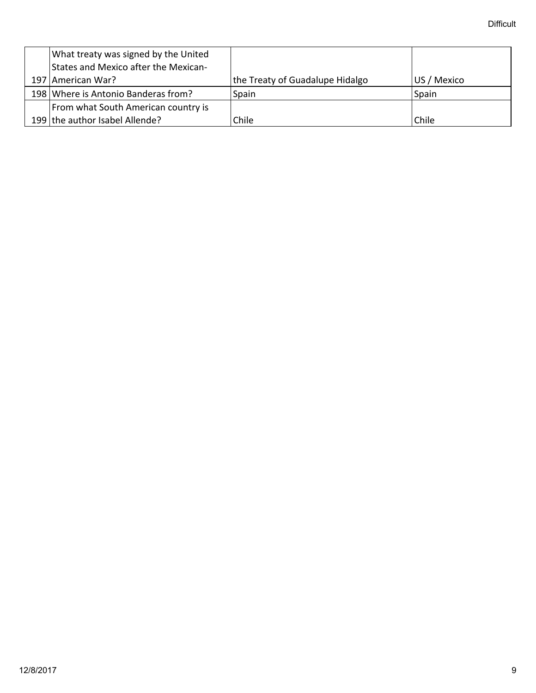| What treaty was signed by the United |                                 |             |
|--------------------------------------|---------------------------------|-------------|
| States and Mexico after the Mexican- |                                 |             |
| 197   American War?                  | the Treaty of Guadalupe Hidalgo | US / Mexico |
| 198 Where is Antonio Banderas from?  | Spain                           | Spain       |
| From what South American country is  |                                 |             |
| 199 the author Isabel Allende?       | Chile                           | Chile       |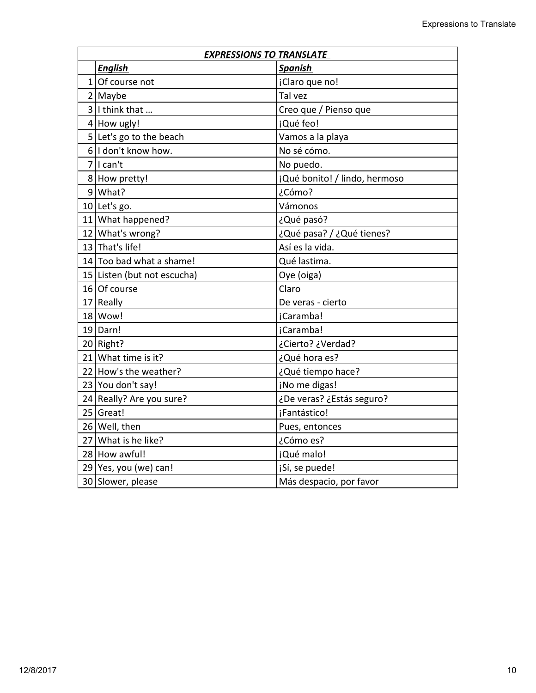| <b>EXPRESSIONS TO TRANSLATE</b> |                             |                               |  |
|---------------------------------|-----------------------------|-------------------------------|--|
|                                 | <b>English</b>              | <b>Spanish</b>                |  |
| $\mathbf{1}$                    | Of course not               | ¡Claro que no!                |  |
|                                 | 2 Maybe                     | Tal vez                       |  |
| 3                               | I think that                | Creo que / Pienso que         |  |
|                                 | $4$ How ugly!               | ¡Qué feo!                     |  |
| 5                               | Let's go to the beach       | Vamos a la playa              |  |
|                                 | 6 I don't know how.         | No sé cómo.                   |  |
|                                 | $7$ I can't                 | No puedo.                     |  |
|                                 | 8 How pretty!               | ¡Qué bonito! / lindo, hermoso |  |
| 9                               | What?                       | ¿Cómo?                        |  |
|                                 | $10$ Let's go.              | Vámonos                       |  |
|                                 | 11 What happened?           | ¿Qué pasó?                    |  |
|                                 | 12 What's wrong?            | ¿Qué pasa? / ¿Qué tienes?     |  |
|                                 | 13 That's life!             | Así es la vida.               |  |
|                                 | 14 Too bad what a shame!    | Qué lastima.                  |  |
|                                 | 15 Listen (but not escucha) | Oye (oiga)                    |  |
|                                 | 16 Of course                | Claro                         |  |
|                                 | 17 Really                   | De veras - cierto             |  |
|                                 | 18 Wow!                     | ¡Caramba!                     |  |
|                                 | 19 Darn!                    | iCaramba!                     |  |
|                                 | 20 Right?                   | ¿Cierto? ¿Verdad?             |  |
|                                 | 21 What time is it?         | ¿Qué hora es?                 |  |
|                                 | 22 How's the weather?       | ¿Qué tiempo hace?             |  |
|                                 | 23 You don't say!           | ¡No me digas!                 |  |
|                                 | 24 Really? Are you sure?    | ¿De veras? ¿Estás seguro?     |  |
|                                 | 25 Great!                   | ¡Fantástico!                  |  |
|                                 | 26 Well, then               | Pues, entonces                |  |
|                                 | 27 What is he like?         | ¿Cómo es?                     |  |
|                                 | 28 How awful!               | ¡Qué malo!                    |  |
|                                 | 29 Yes, you (we) can!       | ¡Sí, se puede!                |  |
|                                 | 30 Slower, please           | Más despacio, por favor       |  |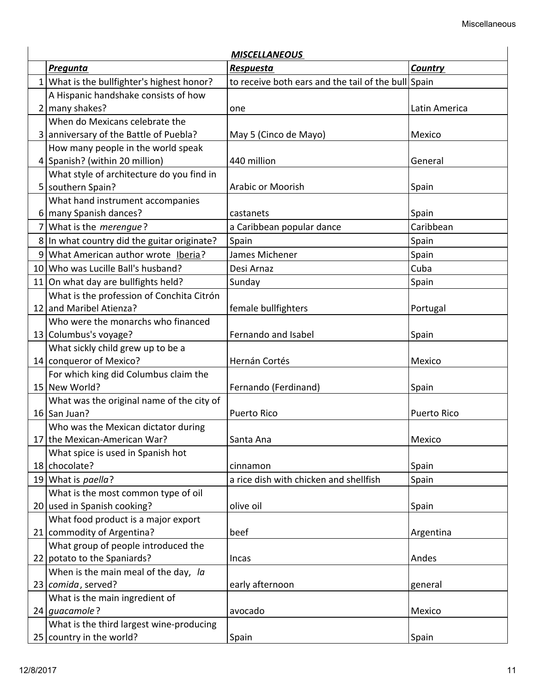| <b>MISCELLANEOUS</b> |                                             |                                                     |                |
|----------------------|---------------------------------------------|-----------------------------------------------------|----------------|
|                      | <b>Pregunta</b>                             | <b>Respuesta</b>                                    | <b>Country</b> |
|                      | 1 What is the bullfighter's highest honor?  | to receive both ears and the tail of the bull Spain |                |
|                      | A Hispanic handshake consists of how        |                                                     |                |
|                      | $2$ many shakes?                            | one                                                 | Latin America  |
|                      | When do Mexicans celebrate the              |                                                     |                |
|                      | 3 anniversary of the Battle of Puebla?      | May 5 (Cinco de Mayo)                               | Mexico         |
|                      | How many people in the world speak          |                                                     |                |
|                      | 4 Spanish? (within 20 million)              | 440 million                                         | General        |
|                      | What style of architecture do you find in   |                                                     |                |
|                      | 5 southern Spain?                           | Arabic or Moorish                                   | Spain          |
|                      | What hand instrument accompanies            |                                                     |                |
|                      | 6   many Spanish dances?                    | castanets                                           | Spain          |
|                      | 7 What is the <i>merengue</i> ?             | a Caribbean popular dance                           | Caribbean      |
|                      | 8 In what country did the guitar originate? | Spain                                               | Spain          |
| 9 <sub>1</sub>       | What American author wrote Iberia?          | James Michener                                      | Spain          |
|                      | 10 Who was Lucille Ball's husband?          | Desi Arnaz                                          | Cuba           |
|                      | 11 On what day are bullfights held?         | Sunday                                              | Spain          |
|                      | What is the profession of Conchita Citrón   |                                                     |                |
|                      | 12 and Maribel Atienza?                     | female bullfighters                                 | Portugal       |
|                      | Who were the monarchs who financed          |                                                     |                |
|                      | 13 Columbus's voyage?                       | Fernando and Isabel                                 | Spain          |
|                      | What sickly child grew up to be a           |                                                     |                |
|                      | 14   conqueror of Mexico?                   | Hernán Cortés                                       | Mexico         |
|                      | For which king did Columbus claim the       |                                                     |                |
|                      | 15 New World?                               | Fernando (Ferdinand)                                | Spain          |
|                      | What was the original name of the city of   |                                                     |                |
|                      | 16 San Juan?                                | <b>Puerto Rico</b>                                  | Puerto Rico    |
|                      | Who was the Mexican dictator during         |                                                     |                |
|                      | 17 the Mexican-American War?                | Santa Ana                                           | Mexico         |
|                      | What spice is used in Spanish hot           |                                                     |                |
|                      | 18 chocolate?                               | cinnamon                                            | Spain          |
|                      | 19 What is paella?                          | a rice dish with chicken and shellfish              | Spain          |
|                      | What is the most common type of oil         |                                                     |                |
|                      | 20 used in Spanish cooking?                 | olive oil                                           | Spain          |
|                      | What food product is a major export         |                                                     |                |
|                      | 21   commodity of Argentina?                | beef                                                | Argentina      |
|                      | What group of people introduced the         |                                                     |                |
|                      | 22 potato to the Spaniards?                 | Incas                                               | Andes          |
|                      | When is the main meal of the day, la        |                                                     |                |
|                      | 23 comida, served?                          | early afternoon                                     | general        |
|                      | What is the main ingredient of              |                                                     |                |
|                      | $24$ guacamole?                             | avocado                                             | Mexico         |
|                      | What is the third largest wine-producing    |                                                     |                |
|                      | 25   country in the world?                  | Spain                                               | Spain          |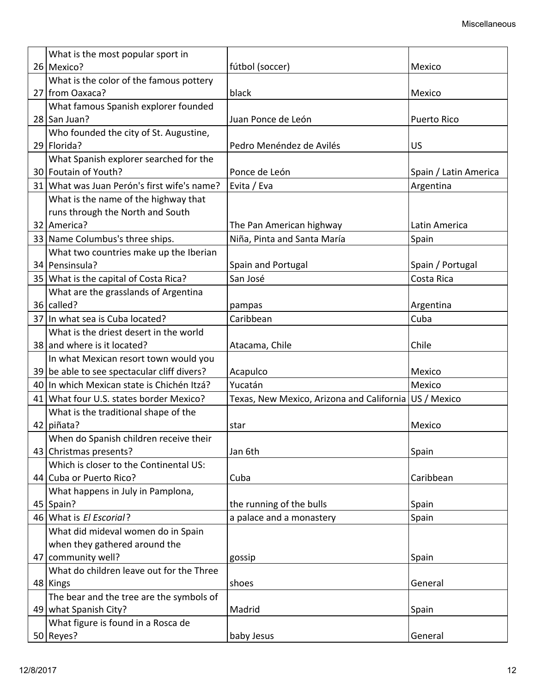|    | What is the most popular sport in           |                                                       |                       |
|----|---------------------------------------------|-------------------------------------------------------|-----------------------|
|    | 26 Mexico?                                  | fútbol (soccer)                                       | Mexico                |
|    | What is the color of the famous pottery     |                                                       |                       |
|    | 27 from Oaxaca?                             | black                                                 | Mexico                |
|    | What famous Spanish explorer founded        |                                                       |                       |
|    | 28 San Juan?                                | Juan Ponce de León                                    | <b>Puerto Rico</b>    |
|    | Who founded the city of St. Augustine,      |                                                       |                       |
|    | 29 Florida?                                 | Pedro Menéndez de Avilés                              | US                    |
|    | What Spanish explorer searched for the      |                                                       |                       |
|    | 30 Foutain of Youth?                        | Ponce de León                                         | Spain / Latin America |
|    | 31 What was Juan Perón's first wife's name? | Evita / Eva                                           | Argentina             |
|    | What is the name of the highway that        |                                                       |                       |
|    | runs through the North and South            |                                                       |                       |
|    | 32   America?                               | The Pan American highway                              | Latin America         |
|    | 33 Name Columbus's three ships.             | Niña, Pinta and Santa María                           | Spain                 |
|    | What two countries make up the Iberian      |                                                       |                       |
|    | 34 Pensinsula?                              | Spain and Portugal                                    | Spain / Portugal      |
|    | 35 What is the capital of Costa Rica?       | San José                                              | Costa Rica            |
|    | What are the grasslands of Argentina        |                                                       |                       |
|    | 36 called?                                  | pampas                                                | Argentina             |
|    | 37 In what sea is Cuba located?             | Caribbean                                             | Cuba                  |
|    | What is the driest desert in the world      |                                                       |                       |
|    | 38 and where is it located?                 | Atacama, Chile                                        | Chile                 |
|    | In what Mexican resort town would you       |                                                       |                       |
|    | 39 be able to see spectacular cliff divers? | Acapulco                                              | Mexico                |
|    | 40 In which Mexican state is Chichén Itzá?  | Yucatán                                               | Mexico                |
| 41 | What four U.S. states border Mexico?        | Texas, New Mexico, Arizona and California US / Mexico |                       |
|    | What is the traditional shape of the        |                                                       |                       |
| 42 | piñata?                                     | star                                                  | Mexico                |
|    | When do Spanish children receive their      |                                                       |                       |
|    | 43 Christmas presents?                      | Jan 6th                                               | Spain                 |
|    | Which is closer to the Continental US:      |                                                       |                       |
|    | 44 Cuba or Puerto Rico?                     | Cuba                                                  | Caribbean             |
|    | What happens in July in Pamplona,           |                                                       |                       |
|    | 45   Spain?                                 | the running of the bulls                              | Spain                 |
|    | 46 What is El Escorial?                     | a palace and a monastery                              | Spain                 |
|    | What did mideval women do in Spain          |                                                       |                       |
|    | when they gathered around the               |                                                       |                       |
|    | 47 community well?                          | gossip                                                | Spain                 |
|    | What do children leave out for the Three    |                                                       |                       |
|    | 48 Kings                                    | shoes                                                 | General               |
|    | The bear and the tree are the symbols of    |                                                       |                       |
|    | 49 what Spanish City?                       | Madrid                                                | Spain                 |
|    | What figure is found in a Rosca de          |                                                       |                       |
|    | 50 Reyes?                                   | baby Jesus                                            | General               |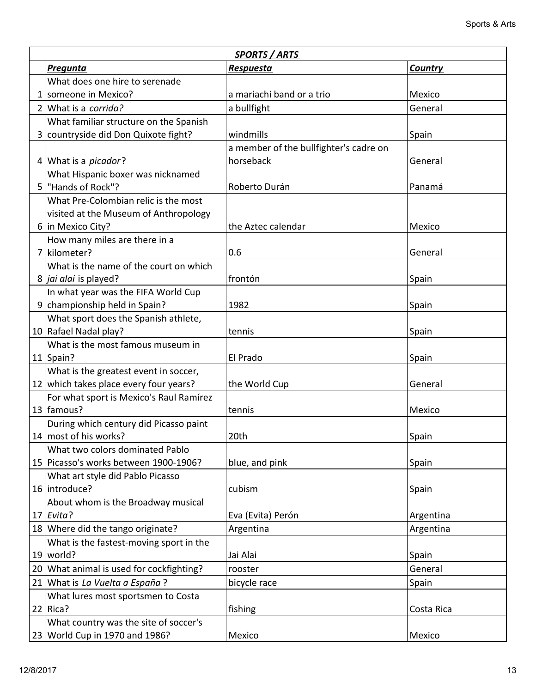۳

| <b>SPORTS / ARTS</b>                                                     |                                        |                |  |  |
|--------------------------------------------------------------------------|----------------------------------------|----------------|--|--|
| <b>Pregunta</b>                                                          | <b>Respuesta</b>                       | <b>Country</b> |  |  |
| What does one hire to serenade                                           |                                        |                |  |  |
| 1 someone in Mexico?                                                     | a mariachi band or a trio              | Mexico         |  |  |
| 2 What is a corrida?                                                     | a bullfight                            | General        |  |  |
| What familiar structure on the Spanish                                   |                                        |                |  |  |
| 3   countryside did Don Quixote fight?                                   | windmills                              | Spain          |  |  |
|                                                                          | a member of the bullfighter's cadre on |                |  |  |
| 4 What is a <i>picador</i> ?                                             | horseback                              | General        |  |  |
| What Hispanic boxer was nicknamed                                        |                                        |                |  |  |
| 5   "Hands of Rock"?                                                     | Roberto Durán                          | Panamá         |  |  |
| What Pre-Colombian relic is the most                                     |                                        |                |  |  |
| visited at the Museum of Anthropology                                    |                                        |                |  |  |
| 6 in Mexico City?                                                        | the Aztec calendar                     | Mexico         |  |  |
| How many miles are there in a                                            |                                        |                |  |  |
| 7 kilometer?                                                             | 0.6                                    | General        |  |  |
| What is the name of the court on which                                   |                                        |                |  |  |
| 8 <i>jai alai</i> is played?                                             | frontón                                | Spain          |  |  |
| In what year was the FIFA World Cup                                      |                                        |                |  |  |
| 9 championship held in Spain?                                            | 1982                                   | Spain          |  |  |
| What sport does the Spanish athlete,                                     |                                        |                |  |  |
| 10 Rafael Nadal play?                                                    | tennis                                 | Spain          |  |  |
| What is the most famous museum in                                        |                                        |                |  |  |
| 11 Spain?                                                                | El Prado                               | Spain          |  |  |
| What is the greatest event in soccer,                                    |                                        |                |  |  |
| 12 which takes place every four years?                                   | the World Cup                          | General        |  |  |
| For what sport is Mexico's Raul Ramírez                                  |                                        |                |  |  |
| 13 famous?                                                               | tennis                                 | Mexico         |  |  |
| During which century did Picasso paint                                   |                                        |                |  |  |
| 14 most of his works?                                                    | 20th                                   | Spain          |  |  |
| What two colors dominated Pablo<br>15 Picasso's works between 1900-1906? |                                        |                |  |  |
|                                                                          | blue, and pink                         | Spain          |  |  |
| What art style did Pablo Picasso<br>16 introduce?                        | cubism                                 |                |  |  |
|                                                                          |                                        | Spain          |  |  |
| About whom is the Broadway musical<br>$17$ Evita?                        | Eva (Evita) Perón                      | Argentina      |  |  |
| 18 Where did the tango originate?                                        | Argentina                              | Argentina      |  |  |
| What is the fastest-moving sport in the                                  |                                        |                |  |  |
| 19 world?                                                                | Jai Alai                               | Spain          |  |  |
| 20 What animal is used for cockfighting?                                 | rooster                                | General        |  |  |
| 21 What is La Vuelta a España?                                           | bicycle race                           | Spain          |  |  |
| What lures most sportsmen to Costa                                       |                                        |                |  |  |
| $22$ Rica?                                                               | fishing                                | Costa Rica     |  |  |
| What country was the site of soccer's                                    |                                        |                |  |  |
| 23 World Cup in 1970 and 1986?                                           | Mexico                                 | Mexico         |  |  |
|                                                                          |                                        |                |  |  |

'n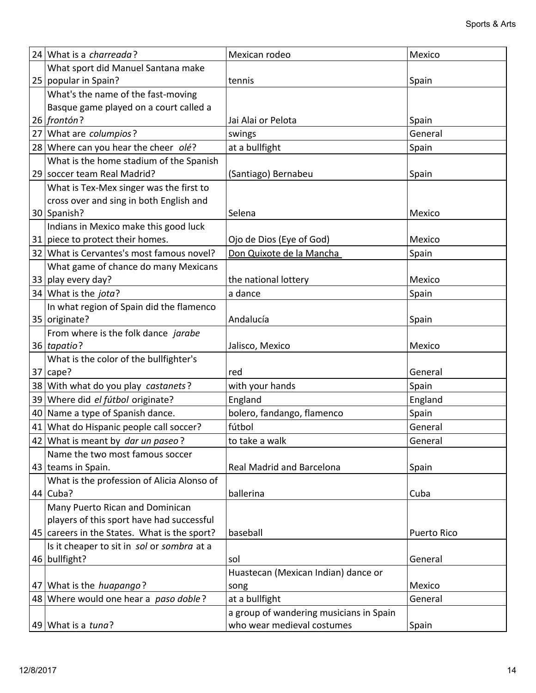| 24 What is a charreada?                      | Mexican rodeo                           | Mexico      |
|----------------------------------------------|-----------------------------------------|-------------|
| What sport did Manuel Santana make           |                                         |             |
| 25 popular in Spain?                         | tennis                                  | Spain       |
| What's the name of the fast-moving           |                                         |             |
| Basque game played on a court called a       |                                         |             |
| 26 frontón?                                  | Jai Alai or Pelota                      | Spain       |
| 27 What are columpios?                       | swings                                  | General     |
| 28 Where can you hear the cheer olé?         | at a bullfight                          | Spain       |
| What is the home stadium of the Spanish      |                                         |             |
| 29 soccer team Real Madrid?                  | (Santiago) Bernabeu                     | Spain       |
| What is Tex-Mex singer was the first to      |                                         |             |
| cross over and sing in both English and      |                                         |             |
| 30 Spanish?                                  | Selena                                  | Mexico      |
| Indians in Mexico make this good luck        |                                         |             |
| 31 piece to protect their homes.             | Ojo de Dios (Eye of God)                | Mexico      |
| 32 What is Cervantes's most famous novel?    | Don Quixote de la Mancha                | Spain       |
| What game of chance do many Mexicans         |                                         |             |
| 33 play every day?                           | the national lottery                    | Mexico      |
| 34 What is the jota?                         | a dance                                 | Spain       |
| In what region of Spain did the flamenco     |                                         |             |
| 35   originate?                              | Andalucía                               | Spain       |
| From where is the folk dance jarabe          |                                         |             |
| 36 tapatio?                                  | Jalisco, Mexico                         | Mexico      |
| What is the color of the bullfighter's       |                                         |             |
| 37 cape?                                     | red                                     | General     |
| 38 With what do you play castanets?          | with your hands                         | Spain       |
| 39 Where did el fútbol originate?            | England                                 | England     |
| 40 Name a type of Spanish dance.             | bolero, fandango, flamenco              | Spain       |
| 41 What do Hispanic people call soccer?      | fútbol                                  | General     |
| 42 What is meant by dar un paseo?            | to take a walk                          | General     |
| Name the two most famous soccer              |                                         |             |
| 43 teams in Spain.                           | <b>Real Madrid and Barcelona</b>        | Spain       |
| What is the profession of Alicia Alonso of   |                                         |             |
| 44 Cuba?                                     | ballerina                               | Cuba        |
| Many Puerto Rican and Dominican              |                                         |             |
| players of this sport have had successful    |                                         |             |
| 45 careers in the States. What is the sport? | baseball                                | Puerto Rico |
| Is it cheaper to sit in sol or sombra at a   |                                         |             |
| 46 bullfight?                                | sol                                     | General     |
|                                              | Huastecan (Mexican Indian) dance or     |             |
| 47 What is the <i>huapango</i> ?             | song                                    | Mexico      |
| 48 Where would one hear a paso doble?        | at a bullfight                          | General     |
|                                              | a group of wandering musicians in Spain |             |
| 49 What is a tuna?                           | who wear medieval costumes              | Spain       |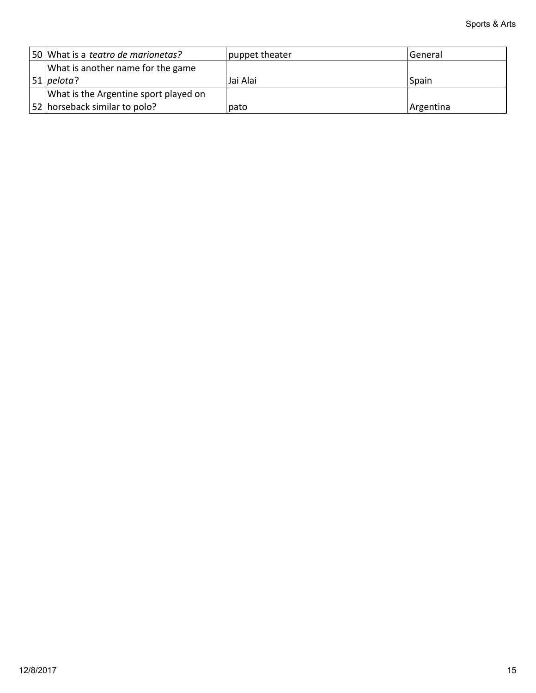| 50 What is a teatro de marionetas?    | puppet theater | General   |
|---------------------------------------|----------------|-----------|
| What is another name for the game     |                |           |
| 51   pelota?                          | Jai Alai       | Spain     |
| What is the Argentine sport played on |                |           |
| 52 horseback similar to polo?         | pato           | Argentina |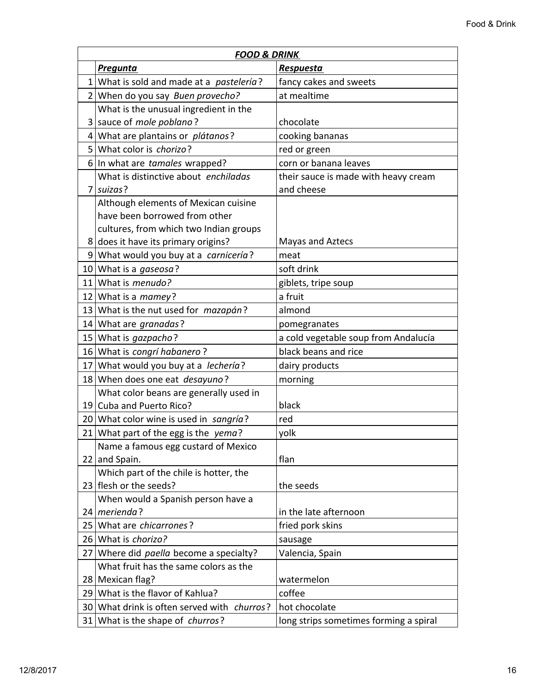|   | <b>FOOD &amp; DRINK</b>                          |                                        |
|---|--------------------------------------------------|----------------------------------------|
|   | <b>Pregunta</b>                                  | Respuesta                              |
|   | 1 What is sold and made at a <i>pastelería</i> ? | fancy cakes and sweets                 |
|   | 2 When do you say Buen provecho?                 | at mealtime                            |
|   | What is the unusual ingredient in the            |                                        |
| 3 | sauce of mole poblano?                           | chocolate                              |
|   | 4 What are plantains or <i>plátanos</i> ?        | cooking bananas                        |
|   | 5 What color is chorizo?                         | red or green                           |
|   | 6 In what are tamales wrapped?                   | corn or banana leaves                  |
|   | What is distinctive about enchiladas             | their sauce is made with heavy cream   |
|   | 7 suizas?                                        | and cheese                             |
|   | Although elements of Mexican cuisine             |                                        |
|   | have been borrowed from other                    |                                        |
|   | cultures, from which two Indian groups           |                                        |
|   | 8 does it have its primary origins?              | Mayas and Aztecs                       |
|   | 9 What would you buy at a carnicería?            | meat                                   |
|   | 10 What is a <i>gaseosa</i> ?                    | soft drink                             |
|   | 11 What is <i>menudo?</i>                        | giblets, tripe soup                    |
|   | 12 What is a <i>mamey</i> ?                      | a fruit                                |
|   | 13 What is the nut used for <i>mazapán</i> ?     | almond                                 |
|   | 14 What are granadas?                            | pomegranates                           |
|   | 15 What is gazpacho?                             | a cold vegetable soup from Andalucía   |
|   | 16 What is congrí habanero?                      | black beans and rice                   |
|   | 17 What would you buy at a lechería?             | dairy products                         |
|   | 18 When does one eat <i>desayuno</i> ?           | morning                                |
|   | What color beans are generally used in           |                                        |
|   | 19 Cuba and Puerto Rico?                         | black                                  |
|   | 20 What color wine is used in sangría?           | red                                    |
|   | 21 What part of the egg is the yema?             | yolk                                   |
|   | Name a famous egg custard of Mexico              |                                        |
|   | 22 and Spain.                                    | flan                                   |
|   | Which part of the chile is hotter, the           |                                        |
|   | 23 flesh or the seeds?                           | the seeds                              |
|   | When would a Spanish person have a               |                                        |
|   | 24 merienda?                                     | in the late afternoon                  |
|   | 25 What are chicarrones?                         | fried pork skins                       |
|   | 26 What is chorizo?                              | sausage                                |
|   | 27 Where did paella become a specialty?          | Valencia, Spain                        |
|   | What fruit has the same colors as the            |                                        |
|   | 28 Mexican flag?                                 | watermelon                             |
|   | 29 What is the flavor of Kahlua?                 | coffee                                 |
|   | 30 What drink is often served with churros?      | hot chocolate                          |
|   | 31 What is the shape of churros?                 | long strips sometimes forming a spiral |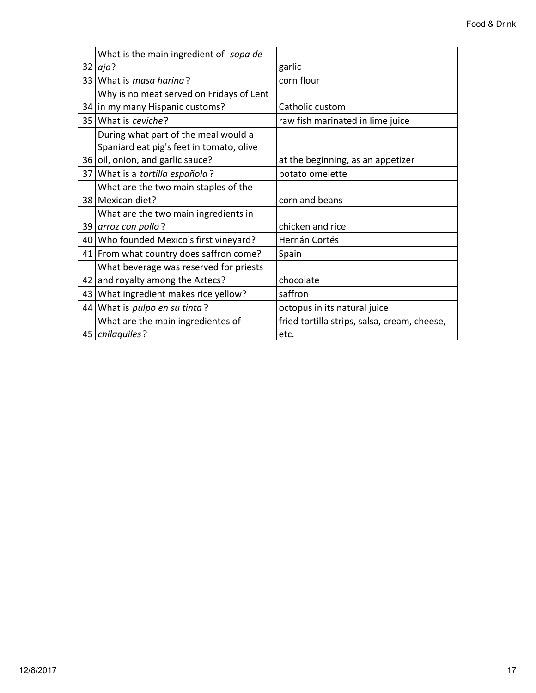| What is the main ingredient of sopa de   |                                              |
|------------------------------------------|----------------------------------------------|
| $32   q$ jo?                             | garlic                                       |
| 33 What is masa harina?                  | corn flour                                   |
| Why is no meat served on Fridays of Lent |                                              |
| 34   in my many Hispanic customs?        | Catholic custom                              |
| 35 What is ceviche?                      | raw fish marinated in lime juice             |
| During what part of the meal would a     |                                              |
| Spaniard eat pig's feet in tomato, olive |                                              |
| 36 oil, onion, and garlic sauce?         | at the beginning, as an appetizer            |
| 37 What is a tortilla española?          | potato omelette                              |
| What are the two main staples of the     |                                              |
| 38 Mexican diet?                         | corn and beans                               |
| What are the two main ingredients in     |                                              |
| 39 arroz con pollo?                      | chicken and rice                             |
| 40 Who founded Mexico's first vineyard?  | Hernán Cortés                                |
| 41 From what country does saffron come?  | Spain                                        |
| What beverage was reserved for priests   |                                              |
| 42 and royalty among the Aztecs?         | chocolate                                    |
| 43 What ingredient makes rice yellow?    | saffron                                      |
| 44 What is pulpo en su tinta?            | octopus in its natural juice                 |
| What are the main ingredientes of        | fried tortilla strips, salsa, cream, cheese, |
| 45 chilaquiles?                          | etc.                                         |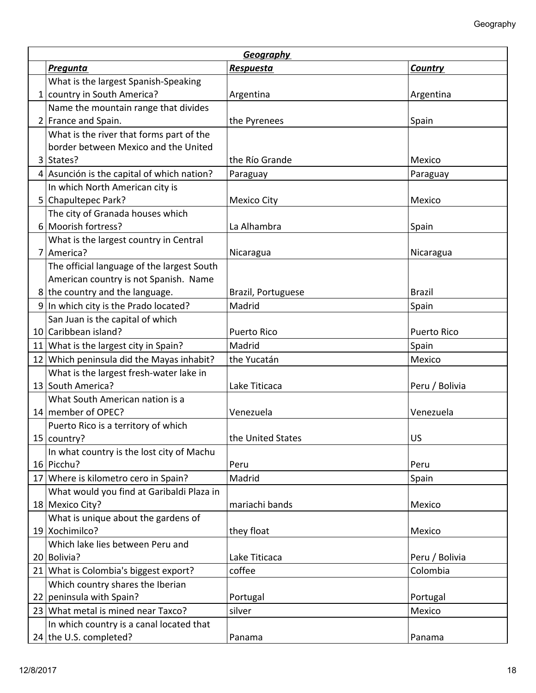| Geography                                    |                    |                    |  |
|----------------------------------------------|--------------------|--------------------|--|
| <b>Pregunta</b>                              | Respuesta          | <b>Country</b>     |  |
| What is the largest Spanish-Speaking         |                    |                    |  |
| 1   country in South America?                | Argentina          | Argentina          |  |
| Name the mountain range that divides         |                    |                    |  |
| 2 France and Spain.                          | the Pyrenees       | Spain              |  |
| What is the river that forms part of the     |                    |                    |  |
| border between Mexico and the United         |                    |                    |  |
| 3 States?                                    | the Río Grande     | Mexico             |  |
| 4 Asunción is the capital of which nation?   | Paraguay           | Paraguay           |  |
| In which North American city is              |                    |                    |  |
| 5 Chapultepec Park?                          | <b>Mexico City</b> | Mexico             |  |
| The city of Granada houses which             |                    |                    |  |
| 6 Moorish fortress?                          | La Alhambra        | Spain              |  |
| What is the largest country in Central       |                    |                    |  |
| 7 America?                                   | Nicaragua          | Nicaragua          |  |
| The official language of the largest South   |                    |                    |  |
| American country is not Spanish. Name        |                    |                    |  |
| $8$ the country and the language.            | Brazil, Portuguese | <b>Brazil</b>      |  |
| $9 \mid$ In which city is the Prado located? | Madrid             | Spain              |  |
| San Juan is the capital of which             |                    |                    |  |
| 10 Caribbean island?                         | <b>Puerto Rico</b> | <b>Puerto Rico</b> |  |
| 11 What is the largest city in Spain?        | Madrid             | Spain              |  |
| 12 Which peninsula did the Mayas inhabit?    | the Yucatán        | Mexico             |  |
| What is the largest fresh-water lake in      |                    |                    |  |
| 13 South America?                            | Lake Titicaca      | Peru / Bolivia     |  |
| What South American nation is a              |                    |                    |  |
| 14 member of OPEC?                           | Venezuela          | Venezuela          |  |
| Puerto Rico is a territory of which          |                    |                    |  |
| 15 country?                                  | the United States  | US                 |  |
| In what country is the lost city of Machu    |                    |                    |  |
| 16 Picchu?                                   | Peru               | Peru               |  |
| 17 Where is kilometro cero in Spain?         | Madrid             | Spain              |  |
| What would you find at Garibaldi Plaza in    |                    |                    |  |
| 18 Mexico City?                              | mariachi bands     | Mexico             |  |
| What is unique about the gardens of          |                    |                    |  |
| 19 Xochimilco?                               | they float         | Mexico             |  |
| Which lake lies between Peru and             |                    |                    |  |
| 20 Bolivia?                                  | Lake Titicaca      | Peru / Bolivia     |  |
| 21 What is Colombia's biggest export?        | coffee             | Colombia           |  |
| Which country shares the Iberian             |                    |                    |  |
| 22 peninsula with Spain?                     | Portugal           | Portugal           |  |
| 23 What metal is mined near Taxco?           | silver             | Mexico             |  |
| In which country is a canal located that     |                    |                    |  |
| 24 the U.S. completed?                       | Panama             | Panama             |  |

j.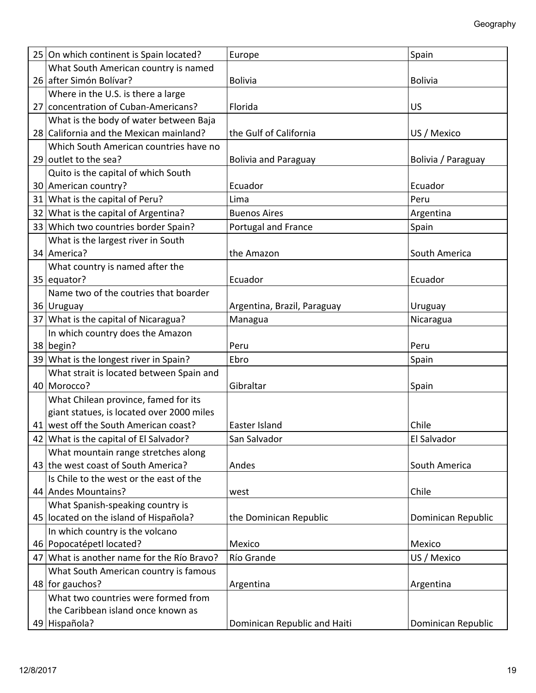|    | 25 On which continent is Spain located?    | Europe                       | Spain              |
|----|--------------------------------------------|------------------------------|--------------------|
|    | What South American country is named       |                              |                    |
|    | 26 after Simón Bolívar?                    | <b>Bolivia</b>               | <b>Bolivia</b>     |
|    | Where in the U.S. is there a large         |                              |                    |
| 27 | concentration of Cuban-Americans?          | Florida                      | US                 |
|    | What is the body of water between Baja     |                              |                    |
|    | 28 California and the Mexican mainland?    | the Gulf of California       | US / Mexico        |
|    | Which South American countries have no     |                              |                    |
|    | 29 outlet to the sea?                      | <b>Bolivia and Paraguay</b>  | Bolivia / Paraguay |
|    | Quito is the capital of which South        |                              |                    |
|    | 30 American country?                       | Ecuador                      | Ecuador            |
|    | 31 What is the capital of Peru?            | Lima                         | Peru               |
|    | 32 What is the capital of Argentina?       | <b>Buenos Aires</b>          | Argentina          |
|    | 33 Which two countries border Spain?       | Portugal and France          | Spain              |
|    | What is the largest river in South         |                              |                    |
|    | 34 America?                                | the Amazon                   | South America      |
|    | What country is named after the            |                              |                    |
|    | 35 equator?                                | Ecuador                      | Ecuador            |
|    | Name two of the coutries that boarder      |                              |                    |
|    | 36 Uruguay                                 | Argentina, Brazil, Paraguay  | Uruguay            |
|    | 37 What is the capital of Nicaragua?       | Managua                      | Nicaragua          |
|    | In which country does the Amazon           |                              |                    |
|    | 38 begin?                                  | Peru                         | Peru               |
|    | 39 What is the longest river in Spain?     | Ebro                         | Spain              |
|    | What strait is located between Spain and   |                              |                    |
|    | 40 Morocco?                                | Gibraltar                    | Spain              |
|    | What Chilean province, famed for its       |                              |                    |
|    | giant statues, is located over 2000 miles  |                              |                    |
|    | 41 west off the South American coast?      | Easter Island                | Chile              |
|    | 42 What is the capital of El Salvador?     | San Salvador                 | El Salvador        |
|    | What mountain range stretches along        |                              |                    |
|    | 43   the west coast of South America?      | Andes                        | South America      |
|    | Is Chile to the west or the east of the    |                              |                    |
|    | 44 Andes Mountains?                        | west                         | Chile              |
|    | What Spanish-speaking country is           |                              |                    |
|    | 45 located on the island of Hispañola?     | the Dominican Republic       | Dominican Republic |
|    | In which country is the volcano            |                              |                    |
|    | 46 Popocatépetl located?                   | Mexico                       | Mexico             |
|    | 47 What is another name for the Río Bravo? | Río Grande                   | US / Mexico        |
|    | What South American country is famous      |                              |                    |
|    | 48 for gauchos?                            | Argentina                    | Argentina          |
|    | What two countries were formed from        |                              |                    |
|    | the Caribbean island once known as         |                              |                    |
|    | 49 Hispañola?                              | Dominican Republic and Haiti | Dominican Republic |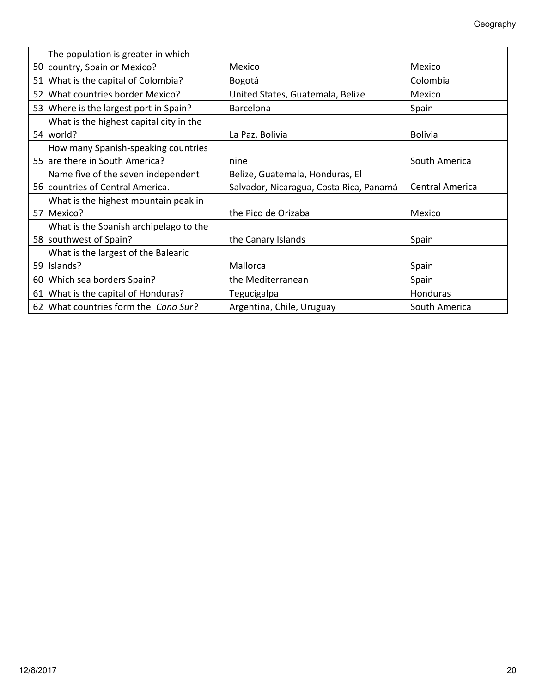| The population is greater in which                   |                                         |                        |
|------------------------------------------------------|-----------------------------------------|------------------------|
| 50   country, Spain or Mexico?                       | Mexico                                  | Mexico                 |
| 51 What is the capital of Colombia?                  | Bogotá                                  | Colombia               |
| 52 What countries border Mexico?                     | United States, Guatemala, Belize        | Mexico                 |
| 53 Where is the largest port in Spain?               | <b>Barcelona</b>                        | Spain                  |
| What is the highest capital city in the<br>54 world? | La Paz, Bolivia                         | <b>Bolivia</b>         |
| How many Spanish-speaking countries                  |                                         |                        |
| 55 are there in South America?                       | nine                                    | South America          |
| Name five of the seven independent                   | Belize, Guatemala, Honduras, El         |                        |
| 56 countries of Central America.                     | Salvador, Nicaragua, Costa Rica, Panamá | <b>Central America</b> |
| What is the highest mountain peak in                 |                                         |                        |
| 57 Mexico?                                           | the Pico de Orizaba                     | Mexico                 |
| What is the Spanish archipelago to the               |                                         |                        |
| 58   southwest of Spain?                             | the Canary Islands                      | Spain                  |
| What is the largest of the Balearic                  |                                         |                        |
| 59   Islands?                                        | Mallorca                                | Spain                  |
| 60 Which sea borders Spain?                          | the Mediterranean                       | Spain                  |
| 61 What is the capital of Honduras?                  | Tegucigalpa                             | Honduras               |
| 62 What countries form the Cono Sur?                 | Argentina, Chile, Uruguay               | South America          |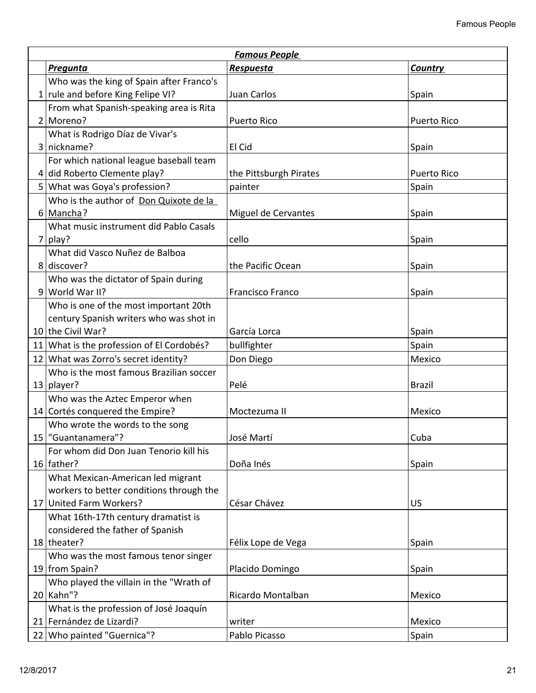| <b>Famous People</b>                      |                         |                    |  |
|-------------------------------------------|-------------------------|--------------------|--|
| <b>Pregunta</b>                           | Respuesta               | <b>Country</b>     |  |
| Who was the king of Spain after Franco's  |                         |                    |  |
| 1 rule and before King Felipe VI?         | Juan Carlos             | Spain              |  |
| From what Spanish-speaking area is Rita   |                         |                    |  |
| 2 Moreno?                                 | Puerto Rico             | Puerto Rico        |  |
| What is Rodrigo Díaz de Vivar's           |                         |                    |  |
| 3 nickname?                               | El Cid                  | Spain              |  |
| For which national league baseball team   |                         |                    |  |
| 4 did Roberto Clemente play?              | the Pittsburgh Pirates  | <b>Puerto Rico</b> |  |
| 5 What was Goya's profession?             | painter                 | Spain              |  |
| Who is the author of Don Quixote de la    |                         |                    |  |
| 6 Mancha?                                 | Miguel de Cervantes     | Spain              |  |
| What music instrument did Pablo Casals    |                         |                    |  |
| 7 play?                                   | cello                   | Spain              |  |
| What did Vasco Nuñez de Balboa            |                         |                    |  |
| 8 discover?                               | the Pacific Ocean       | Spain              |  |
| Who was the dictator of Spain during      |                         |                    |  |
| 9 World War II?                           | <b>Francisco Franco</b> | Spain              |  |
| Who is one of the most important 20th     |                         |                    |  |
| century Spanish writers who was shot in   |                         |                    |  |
| 10 the Civil War?                         | García Lorca            | Spain              |  |
| 11 What is the profession of El Cordobés? | bullfighter             | Spain              |  |
| 12 What was Zorro's secret identity?      | Don Diego               | Mexico             |  |
| Who is the most famous Brazilian soccer   |                         |                    |  |
| $13$ player?                              | Pelé                    | <b>Brazil</b>      |  |
| Who was the Aztec Emperor when            |                         |                    |  |
| 14 Cortés conquered the Empire?           | Moctezuma II            | Mexico             |  |
| Who wrote the words to the song           |                         |                    |  |
| 15   "Guantanamera"?                      | José Martí              | Cuba               |  |
| For whom did Don Juan Tenorio kill his    |                         |                    |  |
| $16$ father?                              | Doña Inés               | Spain              |  |
| What Mexican-American led migrant         |                         |                    |  |
| workers to better conditions through the  |                         |                    |  |
| 17 United Farm Workers?                   | César Chávez            | US                 |  |
| What 16th-17th century dramatist is       |                         |                    |  |
| considered the father of Spanish          |                         |                    |  |
| 18 theater?                               | Félix Lope de Vega      | Spain              |  |
| Who was the most famous tenor singer      |                         |                    |  |
| 19 from Spain?                            | Placido Domingo         | Spain              |  |
| Who played the villain in the "Wrath of   |                         |                    |  |
| 20 Kahn"?                                 | Ricardo Montalban       | Mexico             |  |
| What is the profession of José Joaquín    |                         |                    |  |
| 21 Fernández de Lizardi?                  | writer                  | Mexico             |  |
| 22 Who painted "Guernica"?                | Pablo Picasso           | Spain              |  |

j.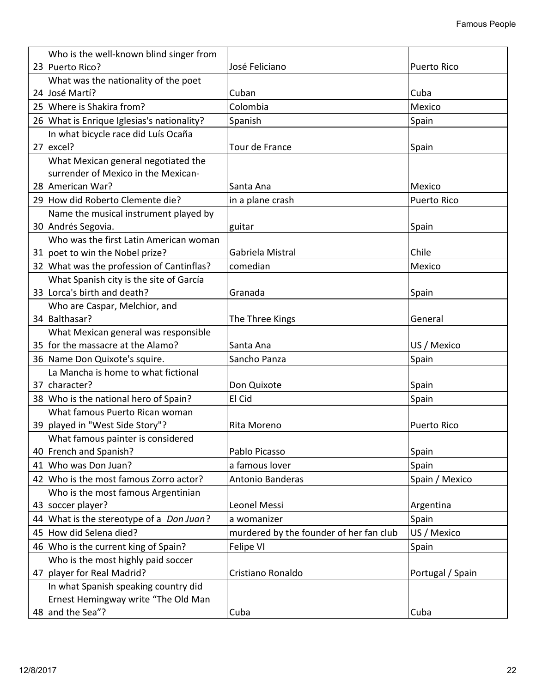| Who is the well-known blind singer from    |                                         |                    |
|--------------------------------------------|-----------------------------------------|--------------------|
| 23 Puerto Rico?                            | José Feliciano                          | <b>Puerto Rico</b> |
| What was the nationality of the poet       |                                         |                    |
| 24 José Martí?                             | Cuban                                   | Cuba               |
| 25   Where is Shakira from?                | Colombia                                | Mexico             |
| 26 What is Enrique Iglesias's nationality? | Spanish                                 | Spain              |
| In what bicycle race did Luís Ocaña        |                                         |                    |
| 27 excel?                                  | Tour de France                          | Spain              |
| What Mexican general negotiated the        |                                         |                    |
| surrender of Mexico in the Mexican-        |                                         |                    |
| 28 American War?                           | Santa Ana                               | Mexico             |
| 29 How did Roberto Clemente die?           | in a plane crash                        | <b>Puerto Rico</b> |
| Name the musical instrument played by      |                                         |                    |
| 30 Andrés Segovia.                         | guitar                                  | Spain              |
| Who was the first Latin American woman     |                                         |                    |
| 31 poet to win the Nobel prize?            | Gabriela Mistral                        | Chile              |
| 32 What was the profession of Cantinflas?  | comedian                                | Mexico             |
| What Spanish city is the site of García    |                                         |                    |
| 33 Lorca's birth and death?                | Granada                                 | Spain              |
| Who are Caspar, Melchior, and              |                                         |                    |
| 34 Balthasar?                              | The Three Kings                         | General            |
| What Mexican general was responsible       |                                         |                    |
| 35 for the massacre at the Alamo?          | Santa Ana                               | US / Mexico        |
| 36 Name Don Quixote's squire.              | Sancho Panza                            | Spain              |
| La Mancha is home to what fictional        |                                         |                    |
| 37 character?                              | Don Quixote                             | Spain              |
| 38 Who is the national hero of Spain?      | El Cid                                  | Spain              |
| What famous Puerto Rican woman             |                                         |                    |
| 39   played in "West Side Story"?          | Rita Moreno                             | <b>Puerto Rico</b> |
| What famous painter is considered          |                                         |                    |
| 40 French and Spanish?                     | Pablo Picasso                           | Spain              |
| 41 Who was Don Juan?                       | a famous lover                          | Spain              |
| 42 Who is the most famous Zorro actor?     | Antonio Banderas                        | Spain / Mexico     |
| Who is the most famous Argentinian         |                                         |                    |
| 43 soccer player?                          | Leonel Messi                            | Argentina          |
| 44 What is the stereotype of a Don Juan?   | a womanizer                             | Spain              |
| 45 How did Selena died?                    | murdered by the founder of her fan club | US / Mexico        |
| 46 Who is the current king of Spain?       | Felipe VI                               | Spain              |
| Who is the most highly paid soccer         |                                         |                    |
| 47 player for Real Madrid?                 | Cristiano Ronaldo                       | Portugal / Spain   |
| In what Spanish speaking country did       |                                         |                    |
| Ernest Hemingway write "The Old Man        |                                         |                    |
| 48 and the Sea"?                           | Cuba                                    | Cuba               |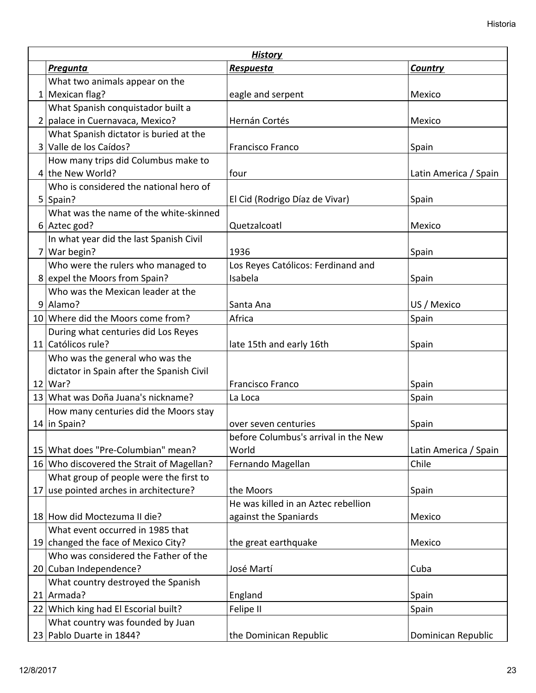$\overline{\mathbf{1}}$ 

| <b>History</b>                            |                                      |                       |  |
|-------------------------------------------|--------------------------------------|-----------------------|--|
| <b>Pregunta</b>                           | Respuesta                            | <b>Country</b>        |  |
| What two animals appear on the            |                                      |                       |  |
| 1 Mexican flag?                           | eagle and serpent                    | Mexico                |  |
| What Spanish conquistador built a         |                                      |                       |  |
| 2 palace in Cuernavaca, Mexico?           | Hernán Cortés                        | Mexico                |  |
| What Spanish dictator is buried at the    |                                      |                       |  |
| 3 Valle de los Caídos?                    | Francisco Franco                     | Spain                 |  |
| How many trips did Columbus make to       |                                      |                       |  |
| 4 the New World?                          | four                                 | Latin America / Spain |  |
| Who is considered the national hero of    |                                      |                       |  |
| $5$ Spain?                                | El Cid (Rodrigo Díaz de Vivar)       | Spain                 |  |
| What was the name of the white-skinned    |                                      |                       |  |
| $6$ Aztec god?                            | Quetzalcoatl                         | Mexico                |  |
| In what year did the last Spanish Civil   |                                      |                       |  |
| 7 War begin?                              | 1936                                 | Spain                 |  |
| Who were the rulers who managed to        | Los Reyes Católicos: Ferdinand and   |                       |  |
| 8 expel the Moors from Spain?             | Isabela                              | Spain                 |  |
| Who was the Mexican leader at the         |                                      |                       |  |
| 9 Alamo?                                  | Santa Ana                            | US / Mexico           |  |
| 10 Where did the Moors come from?         | Africa                               | Spain                 |  |
| During what centuries did Los Reyes       |                                      |                       |  |
| 11 Católicos rule?                        | late 15th and early 16th             | Spain                 |  |
| Who was the general who was the           |                                      |                       |  |
| dictator in Spain after the Spanish Civil |                                      |                       |  |
| 12 War?                                   | Francisco Franco                     | Spain                 |  |
| 13 What was Doña Juana's nickname?        | La Loca                              | Spain                 |  |
| How many centuries did the Moors stay     |                                      |                       |  |
| 14 in Spain?                              | over seven centuries                 | Spain                 |  |
|                                           | before Columbus's arrival in the New |                       |  |
| 15 What does "Pre-Columbian" mean?        | World                                | Latin America / Spain |  |
| 16 Who discovered the Strait of Magellan? | Fernando Magellan                    | Chile                 |  |
| What group of people were the first to    |                                      |                       |  |
| 17 use pointed arches in architecture?    | the Moors                            | Spain                 |  |
|                                           | He was killed in an Aztec rebellion  |                       |  |
| 18 How did Moctezuma II die?              | against the Spaniards                | Mexico                |  |
| What event occurred in 1985 that          |                                      |                       |  |
| 19 changed the face of Mexico City?       | the great earthquake                 | Mexico                |  |
| Who was considered the Father of the      |                                      |                       |  |
| 20 Cuban Independence?                    | José Martí                           | Cuba                  |  |
| What country destroyed the Spanish        |                                      |                       |  |
| 21 Armada?                                | England                              | Spain                 |  |
| 22 Which king had El Escorial built?      | Felipe II                            | Spain                 |  |
| What country was founded by Juan          |                                      |                       |  |
| 23 Pablo Duarte in 1844?                  | the Dominican Republic               | Dominican Republic    |  |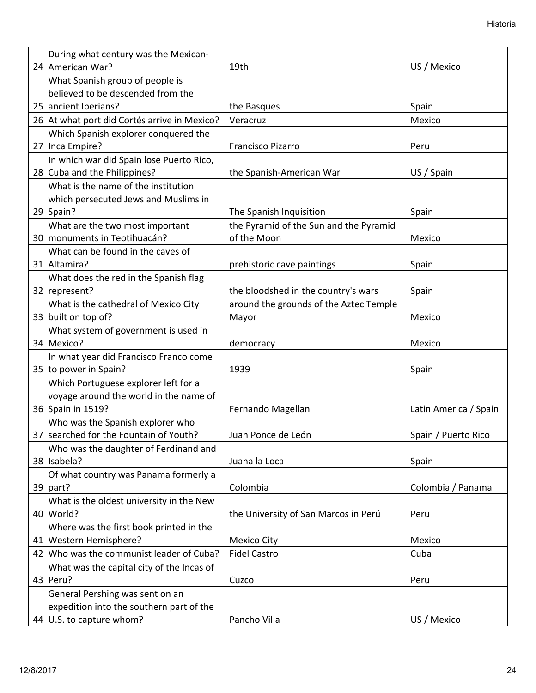| During what century was the Mexican-                                 |                                        |                       |
|----------------------------------------------------------------------|----------------------------------------|-----------------------|
| 24 American War?                                                     | 19th                                   | US / Mexico           |
| What Spanish group of people is                                      |                                        |                       |
| believed to be descended from the                                    |                                        |                       |
| 25 ancient Iberians?                                                 | the Basques                            | Spain                 |
| 26 At what port did Cortés arrive in Mexico?                         | Veracruz                               | Mexico                |
| Which Spanish explorer conquered the                                 |                                        |                       |
| 27 Inca Empire?                                                      | Francisco Pizarro                      | Peru                  |
| In which war did Spain lose Puerto Rico,                             |                                        |                       |
| 28 Cuba and the Philippines?                                         | the Spanish-American War               | US / Spain            |
| What is the name of the institution                                  |                                        |                       |
| which persecuted Jews and Muslims in                                 |                                        |                       |
| 29 Spain?                                                            | The Spanish Inquisition                | Spain                 |
| What are the two most important                                      | the Pyramid of the Sun and the Pyramid |                       |
| 30   monuments in Teotihuacán?                                       | of the Moon                            | Mexico                |
| What can be found in the caves of                                    |                                        |                       |
| 31 Altamira?                                                         | prehistoric cave paintings             | Spain                 |
| What does the red in the Spanish flag                                |                                        |                       |
| 32 represent?                                                        | the bloodshed in the country's wars    | Spain                 |
| What is the cathedral of Mexico City                                 | around the grounds of the Aztec Temple |                       |
| 33 built on top of?                                                  | Mayor                                  | Mexico                |
| What system of government is used in                                 |                                        |                       |
| 34 Mexico?                                                           | democracy                              | Mexico                |
| In what year did Francisco Franco come                               |                                        |                       |
| 35 to power in Spain?                                                | 1939                                   | Spain                 |
| Which Portuguese explorer left for a                                 |                                        |                       |
| voyage around the world in the name of                               |                                        |                       |
| 36 Spain in 1519?                                                    | Fernando Magellan                      | Latin America / Spain |
| Who was the Spanish explorer who                                     |                                        |                       |
| 37 searched for the Fountain of Youth?                               | Juan Ponce de León                     | Spain / Puerto Rico   |
| Who was the daughter of Ferdinand and                                |                                        |                       |
| 38 Isabela?                                                          | Juana la Loca                          | Spain                 |
| Of what country was Panama formerly a                                |                                        |                       |
| $39$ part?                                                           | Colombia                               | Colombia / Panama     |
| What is the oldest university in the New                             |                                        |                       |
| 40 World?                                                            | the University of San Marcos in Perú   | Peru                  |
| Where was the first book printed in the                              |                                        |                       |
| 41   Western Hemisphere?<br>42 Who was the communist leader of Cuba? | <b>Mexico City</b>                     | Mexico                |
|                                                                      | <b>Fidel Castro</b>                    | Cuba                  |
| What was the capital city of the Incas of                            |                                        |                       |
| 43 Peru?                                                             | Cuzco                                  | Peru                  |
| General Pershing was sent on an                                      |                                        |                       |
| expedition into the southern part of the                             |                                        |                       |
| 44 U.S. to capture whom?                                             | Pancho Villa                           | US / Mexico           |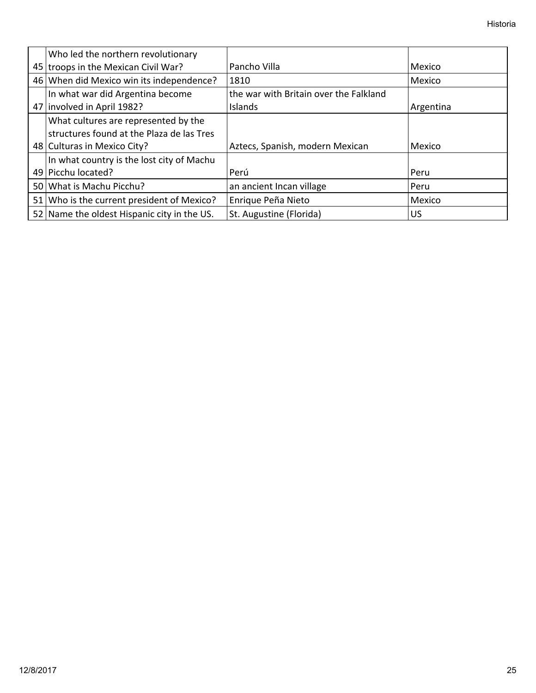| Who led the northern revolutionary          |                                        |           |
|---------------------------------------------|----------------------------------------|-----------|
| 45 troops in the Mexican Civil War?         | Pancho Villa                           | Mexico    |
| 46 When did Mexico win its independence?    | 1810                                   | Mexico    |
| In what war did Argentina become            | the war with Britain over the Falkland |           |
| 47 involved in April 1982?                  | <b>Islands</b>                         | Argentina |
| What cultures are represented by the        |                                        |           |
| structures found at the Plaza de las Tres   |                                        |           |
| 48 Culturas in Mexico City?                 | Aztecs, Spanish, modern Mexican        | Mexico    |
| In what country is the lost city of Machu   |                                        |           |
| 49 Picchu located?                          | Perú                                   | Peru      |
| 50 What is Machu Picchu?                    | an ancient Incan village               | Peru      |
| 51 Who is the current president of Mexico?  | Enrique Peña Nieto                     | Mexico    |
| 52 Name the oldest Hispanic city in the US. | St. Augustine (Florida)                | US.       |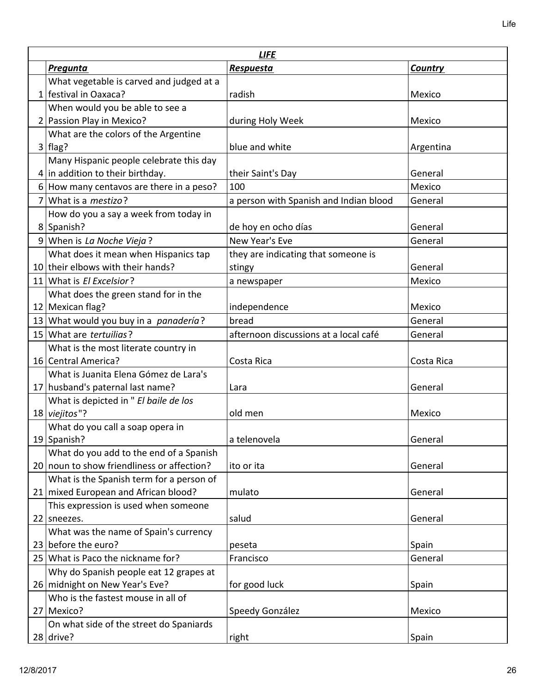| <b>LIFE</b>                                   |                                        |                |  |
|-----------------------------------------------|----------------------------------------|----------------|--|
| <b>Pregunta</b>                               | Respuesta                              | <b>Country</b> |  |
| What vegetable is carved and judged at a      |                                        |                |  |
| 1 festival in Oaxaca?                         | radish                                 | Mexico         |  |
| When would you be able to see a               |                                        |                |  |
| 2 Passion Play in Mexico?                     | during Holy Week                       | Mexico         |  |
| What are the colors of the Argentine          |                                        |                |  |
| 3 flag?                                       | blue and white                         | Argentina      |  |
| Many Hispanic people celebrate this day       |                                        |                |  |
| $4$ in addition to their birthday.            | their Saint's Day                      | General        |  |
| 6 How many centavos are there in a peso?      | 100                                    | Mexico         |  |
| 7 What is a <i>mestizo</i> ?                  | a person with Spanish and Indian blood | General        |  |
| How do you a say a week from today in         |                                        |                |  |
| 8 Spanish?                                    | de hoy en ocho días                    | General        |  |
| 9 When is La Noche Vieja?                     | New Year's Eve                         | General        |  |
| What does it mean when Hispanics tap          | they are indicating that someone is    |                |  |
| 10 their elbows with their hands?             | stingy                                 | General        |  |
| 11 What is El Excelsior?                      | a newspaper                            | Mexico         |  |
| What does the green stand for in the          |                                        |                |  |
| 12 Mexican flag?                              | independence                           | Mexico         |  |
| 13 What would you buy in a <i>panadería</i> ? | bread                                  | General        |  |
| 15 What are tertuilias?                       | afternoon discussions at a local café  | General        |  |
| What is the most literate country in          |                                        |                |  |
| 16 Central America?                           | Costa Rica                             | Costa Rica     |  |
| What is Juanita Elena Gómez de Lara's         |                                        |                |  |
| 17   husband's paternal last name?            | Lara                                   | General        |  |
| What is depicted in " El baile de los         |                                        |                |  |
| 18 viejitos"?                                 | old men                                | Mexico         |  |
| What do you call a soap opera in              |                                        |                |  |
| 19 Spanish?                                   | a telenovela                           | General        |  |
| What do you add to the end of a Spanish       |                                        |                |  |
| 20 noun to show friendliness or affection?    | ito or ita                             | General        |  |
| What is the Spanish term for a person of      |                                        |                |  |
| 21 mixed European and African blood?          | mulato                                 | General        |  |
| This expression is used when someone          |                                        |                |  |
| 22 sneezes.                                   | salud                                  | General        |  |
| What was the name of Spain's currency         |                                        |                |  |
| 23 before the euro?                           | peseta                                 | Spain          |  |
| 25 What is Paco the nickname for?             | Francisco                              | General        |  |
| Why do Spanish people eat 12 grapes at        |                                        |                |  |
| 26 midnight on New Year's Eve?                | for good luck                          | Spain          |  |
| Who is the fastest mouse in all of            |                                        |                |  |
| 27 Mexico?                                    | Speedy González                        | Mexico         |  |
| On what side of the street do Spaniards       |                                        |                |  |
| $28$ drive?                                   | right                                  | Spain          |  |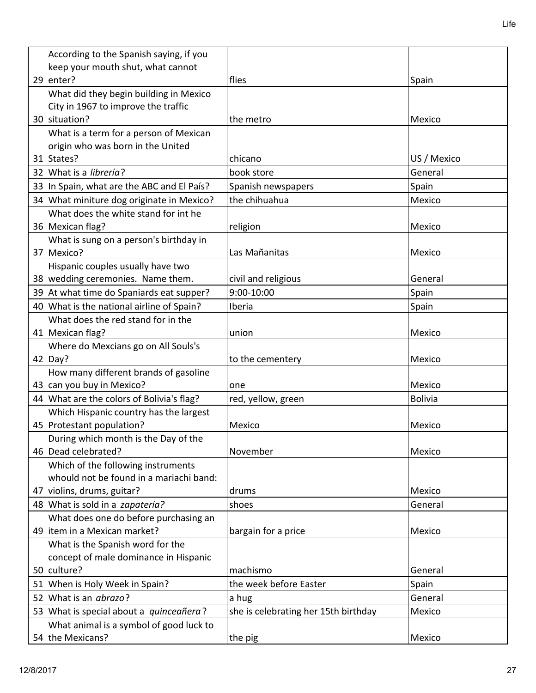|    | According to the Spanish saying, if you    |                                      |                |
|----|--------------------------------------------|--------------------------------------|----------------|
|    | keep your mouth shut, what cannot          |                                      |                |
|    | 29 enter?                                  | flies                                | Spain          |
|    | What did they begin building in Mexico     |                                      |                |
|    | City in 1967 to improve the traffic        |                                      |                |
|    | 30 situation?                              | the metro                            | Mexico         |
|    | What is a term for a person of Mexican     |                                      |                |
|    | origin who was born in the United          |                                      |                |
|    | 31 States?                                 | chicano                              | US / Mexico    |
|    | 32 What is a librería?                     | book store                           | General        |
|    | 33 In Spain, what are the ABC and El País? | Spanish newspapers                   | Spain          |
|    | 34 What miniture dog originate in Mexico?  | the chihuahua                        | Mexico         |
|    | What does the white stand for int he       |                                      |                |
|    | 36 Mexican flag?                           | religion                             | Mexico         |
|    | What is sung on a person's birthday in     |                                      |                |
|    | 37   Mexico?                               | Las Mañanitas                        | Mexico         |
|    | Hispanic couples usually have two          |                                      |                |
|    | 38 wedding ceremonies. Name them.          | civil and religious                  | General        |
|    | 39 At what time do Spaniards eat supper?   | 9:00-10:00                           | Spain          |
|    | 40 What is the national airline of Spain?  | Iberia                               | Spain          |
|    | What does the red stand for in the         |                                      |                |
|    | 41 Mexican flag?                           | union                                | Mexico         |
|    | Where do Mexcians go on All Souls's        |                                      |                |
|    | $42$ Day?                                  | to the cementery                     | Mexico         |
|    | How many different brands of gasoline      |                                      |                |
|    | 43 can you buy in Mexico?                  | one                                  | Mexico         |
|    | 44 What are the colors of Bolivia's flag?  | red, yellow, green                   | <b>Bolivia</b> |
|    | Which Hispanic country has the largest     |                                      |                |
|    | 45 Protestant population?                  | Mexico                               | Mexico         |
|    | During which month is the Day of the       |                                      |                |
|    | 46 Dead celebrated?                        | November                             | Mexico         |
|    | Which of the following instruments         |                                      |                |
|    | whould not be found in a mariachi band:    |                                      |                |
|    | 47 violins, drums, guitar?                 | drums                                | Mexico         |
|    | 48 What is sold in a zapatería?            | shoes                                | General        |
|    | What does one do before purchasing an      |                                      |                |
|    | 49 item in a Mexican market?               | bargain for a price                  | Mexico         |
|    | What is the Spanish word for the           |                                      |                |
|    | concept of male dominance in Hispanic      |                                      |                |
|    | 50 culture?                                | machismo                             | General        |
|    | 51   When is Holy Week in Spain?           | the week before Easter               | Spain          |
| 52 | What is an abrazo?                         | a hug                                | General        |
|    | 53 What is special about a quince añera?   | she is celebrating her 15th birthday | Mexico         |
|    | What animal is a symbol of good luck to    |                                      |                |
|    | 54 the Mexicans?                           | the pig                              | Mexico         |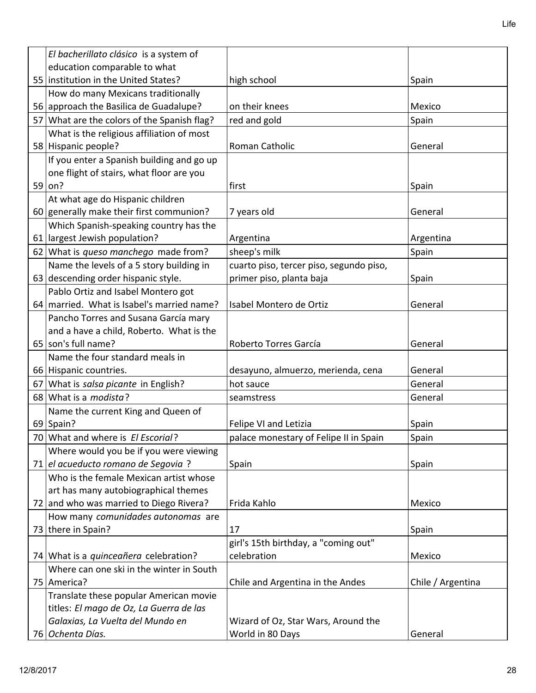| El bacherillato clásico is a system of       |                                                     |                   |
|----------------------------------------------|-----------------------------------------------------|-------------------|
| education comparable to what                 |                                                     |                   |
| 55   institution in the United States?       | high school                                         | Spain             |
| How do many Mexicans traditionally           |                                                     |                   |
| 56 approach the Basilica de Guadalupe?       | on their knees                                      | Mexico            |
| 57 What are the colors of the Spanish flag?  | red and gold                                        | Spain             |
| What is the religious affiliation of most    |                                                     |                   |
| 58 Hispanic people?                          | Roman Catholic                                      | General           |
| If you enter a Spanish building and go up    |                                                     |                   |
| one flight of stairs, what floor are you     |                                                     |                   |
| 59 on?                                       | first                                               | Spain             |
| At what age do Hispanic children             |                                                     |                   |
| 60 generally make their first communion?     | 7 years old                                         | General           |
| Which Spanish-speaking country has the       |                                                     |                   |
| 61   largest Jewish population?              | Argentina                                           | Argentina         |
| 62 What is queso manchego made from?         | sheep's milk                                        | Spain             |
| Name the levels of a 5 story building in     | cuarto piso, tercer piso, segundo piso,             |                   |
| 63 descending order hispanic style.          | primer piso, planta baja                            | Spain             |
| Pablo Ortiz and Isabel Montero got           |                                                     |                   |
| 64 married. What is Isabel's married name?   | Isabel Montero de Ortiz                             | General           |
| Pancho Torres and Susana García mary         |                                                     |                   |
| and a have a child, Roberto. What is the     |                                                     |                   |
| 65   son's full name?                        | Roberto Torres García                               | General           |
| Name the four standard meals in              |                                                     |                   |
| 66 Hispanic countries.                       | desayuno, almuerzo, merienda, cena                  | General           |
| 67 What is salsa picante in English?         | hot sauce                                           | General           |
| 68 What is a <i>modista</i> ?                | seamstress                                          | General           |
| Name the current King and Queen of           |                                                     |                   |
| 69 Spain?                                    | Felipe VI and Letizia                               | Spain             |
| 70 What and where is El Escorial?            | palace monestary of Felipe II in Spain              | Spain             |
| Where would you be if you were viewing       |                                                     |                   |
| 71 el acueducto romano de Segovia ?          | Spain                                               | Spain             |
| Who is the female Mexican artist whose       |                                                     |                   |
| art has many autobiographical themes         |                                                     |                   |
| 72 and who was married to Diego Rivera?      | Frida Kahlo                                         | Mexico            |
| How many comunidades autonomas are           | 17                                                  |                   |
| 73 there in Spain?                           |                                                     | Spain             |
| 74 What is a <i>quinceañera</i> celebration? | girl's 15th birthday, a "coming out"<br>celebration | Mexico            |
| Where can one ski in the winter in South     |                                                     |                   |
| 75 America?                                  | Chile and Argentina in the Andes                    | Chile / Argentina |
| Translate these popular American movie       |                                                     |                   |
| titles: El mago de Oz, La Guerra de las      |                                                     |                   |
| Galaxias, La Vuelta del Mundo en             | Wizard of Oz, Star Wars, Around the                 |                   |
| 76 Ochenta Días.                             | World in 80 Days                                    | General           |
|                                              |                                                     |                   |